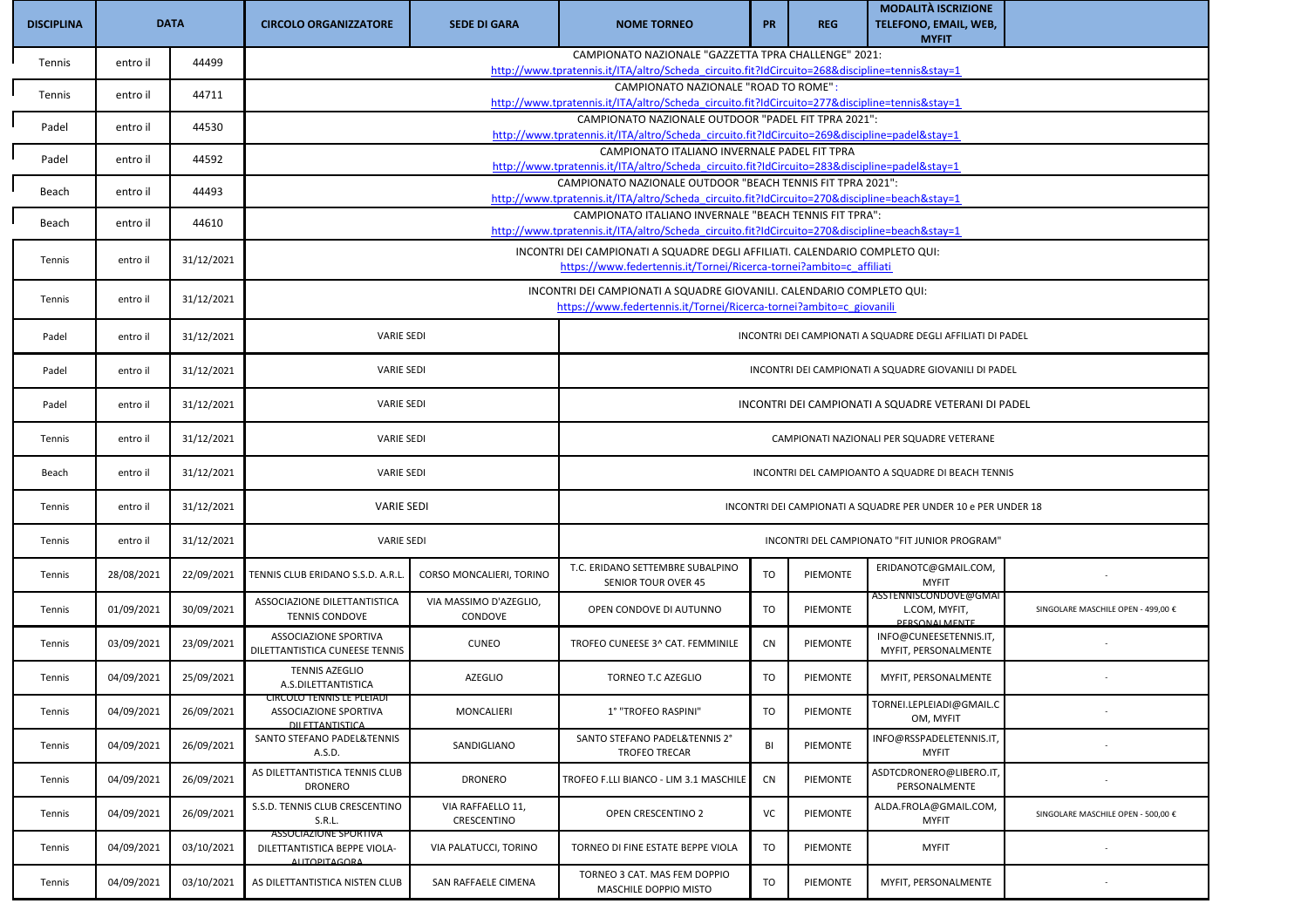| <b>DISCIPLINA</b> | <b>DATA</b> |            | <b>CIRCOLO ORGANIZZATORE</b>                                           | <b>SEDE DI GARA</b>                                                                                                                                     | <b>NOME TORNEO</b>                                                                                                                                     | <b>PR</b>                                            | <b>REG</b>      | <b>MODALITÀ ISCRIZIONE</b><br>TELEFONO, EMAIL, WEB,<br><b>MYFIT</b> |                                    |  |  |  |
|-------------------|-------------|------------|------------------------------------------------------------------------|---------------------------------------------------------------------------------------------------------------------------------------------------------|--------------------------------------------------------------------------------------------------------------------------------------------------------|------------------------------------------------------|-----------------|---------------------------------------------------------------------|------------------------------------|--|--|--|
| Tennis            | entro il    | 44499      |                                                                        |                                                                                                                                                         | CAMPIONATO NAZIONALE "GAZZETTA TPRA CHALLENGE" 2021:<br>http://www.tpratennis.it/ITA/altro/Scheda circuito.fit?IdCircuito=268&discipline=tennis&stay=1 |                                                      |                 |                                                                     |                                    |  |  |  |
| Tennis            | entro il    | 44711      |                                                                        |                                                                                                                                                         | CAMPIONATO NAZIONALE "ROAD TO ROME":                                                                                                                   |                                                      |                 |                                                                     |                                    |  |  |  |
|                   |             |            |                                                                        |                                                                                                                                                         | http://www.tpratennis.it/ITA/altro/Scheda circuito.fit?IdCircuito=277&discipline=tennis&stay=1<br>CAMPIONATO NAZIONALE OUTDOOR "PADEL FIT TPRA 2021":  |                                                      |                 |                                                                     |                                    |  |  |  |
| Padel             | entro il    | 44530      |                                                                        |                                                                                                                                                         | http://www.tpratennis.it/ITA/altro/Scheda_circuito.fit?IdCircuito=269&discipline=padel&stay=1                                                          |                                                      |                 |                                                                     |                                    |  |  |  |
| Padel             | entro il    | 44592      |                                                                        |                                                                                                                                                         | CAMPIONATO ITALIANO INVERNALE PADEL FIT TPRA<br>http://www.tpratennis.it/ITA/altro/Scheda_circuito.fit?IdCircuito=283&discipline=padel&stay=1          |                                                      |                 |                                                                     |                                    |  |  |  |
| Beach             | entro il    | 44493      |                                                                        |                                                                                                                                                         | CAMPIONATO NAZIONALE OUTDOOR "BEACH TENNIS FIT TPRA 2021":                                                                                             |                                                      |                 |                                                                     |                                    |  |  |  |
|                   |             |            |                                                                        | http://www.tpratennis.it/ITA/altro/Scheda circuito.fit?IdCircuito=270&discipline=beach&stay=1<br>CAMPIONATO ITALIANO INVERNALE "BEACH TENNIS FIT TPRA": |                                                                                                                                                        |                                                      |                 |                                                                     |                                    |  |  |  |
| Beach             | entro il    | 44610      |                                                                        |                                                                                                                                                         | http://www.tpratennis.it/ITA/altro/Scheda_circuito.fit?IdCircuito=270&discipline=beach&stay=1                                                          |                                                      |                 |                                                                     |                                    |  |  |  |
| Tennis            | entro il    | 31/12/2021 |                                                                        |                                                                                                                                                         | INCONTRI DEI CAMPIONATI A SQUADRE DEGLI AFFILIATI. CALENDARIO COMPLETO QUI:<br>https://www.federtennis.it/Tornei/Ricerca-tornei?ambito=c affiliati     |                                                      |                 |                                                                     |                                    |  |  |  |
| Tennis            | entro il    | 31/12/2021 |                                                                        | INCONTRI DEI CAMPIONATI A SQUADRE GIOVANILI. CALENDARIO COMPLETO QUI:<br>https://www.federtennis.it/Tornei/Ricerca-tornei?ambito=c_giovanili            |                                                                                                                                                        |                                                      |                 |                                                                     |                                    |  |  |  |
| Padel             | entro il    | 31/12/2021 |                                                                        | <b>VARIE SEDI</b><br>INCONTRI DEI CAMPIONATI A SQUADRE DEGLI AFFILIATI DI PADEL                                                                         |                                                                                                                                                        |                                                      |                 |                                                                     |                                    |  |  |  |
| Padel             | entro il    | 31/12/2021 | <b>VARIE SEDI</b>                                                      |                                                                                                                                                         |                                                                                                                                                        | INCONTRI DEI CAMPIONATI A SQUADRE GIOVANILI DI PADEL |                 |                                                                     |                                    |  |  |  |
| Padel             | entro il    | 31/12/2021 | <b>VARIE SEDI</b>                                                      |                                                                                                                                                         | INCONTRI DEI CAMPIONATI A SQUADRE VETERANI DI PADEL                                                                                                    |                                                      |                 |                                                                     |                                    |  |  |  |
| Tennis            | entro il    | 31/12/2021 | <b>VARIE SEDI</b>                                                      |                                                                                                                                                         |                                                                                                                                                        |                                                      |                 | CAMPIONATI NAZIONALI PER SQUADRE VETERANE                           |                                    |  |  |  |
| Beach             | entro il    | 31/12/2021 | <b>VARIE SEDI</b>                                                      |                                                                                                                                                         |                                                                                                                                                        |                                                      |                 | INCONTRI DEL CAMPIOANTO A SQUADRE DI BEACH TENNIS                   |                                    |  |  |  |
| Tennis            | entro il    | 31/12/2021 | <b>VARIE SEDI</b>                                                      |                                                                                                                                                         |                                                                                                                                                        |                                                      |                 | INCONTRI DEI CAMPIONATI A SQUADRE PER UNDER 10 e PER UNDER 18       |                                    |  |  |  |
| Tennis            | entro il    | 31/12/2021 | <b>VARIE SEDI</b>                                                      |                                                                                                                                                         |                                                                                                                                                        |                                                      |                 | INCONTRI DEL CAMPIONATO "FIT JUNIOR PROGRAM"                        |                                    |  |  |  |
| Tennis            | 28/08/2021  | 22/09/2021 | TENNIS CLUB ERIDANO S.S.D. A.R.L                                       | CORSO MONCALIERI, TORINO                                                                                                                                | T.C. ERIDANO SETTEMBRE SUBALPINO<br>SENIOR TOUR OVER 45                                                                                                | TO                                                   | PIEMONTE        | ERIDANOTC@GMAIL.COM,<br><b>MYFIT</b>                                |                                    |  |  |  |
| Tennis            | 01/09/2021  | 30/09/2021 | ASSOCIAZIONE DILETTANTISTICA<br><b>TENNIS CONDOVE</b>                  | VIA MASSIMO D'AZEGLIO,<br>CONDOVE                                                                                                                       | OPEN CONDOVE DI AUTUNNO                                                                                                                                | TO                                                   | PIEMONTE        | ASSTENNISCONDOVE@GMAI<br>L.COM, MYFIT,<br>PERSONAL MENTE            | SINGOLARE MASCHILE OPEN - 499,00 € |  |  |  |
| Tennis            | 03/09/2021  | 23/09/2021 | <b>ASSOCIAZIONE SPORTIVA</b><br>DILETTANTISTICA CUNEESE TENNIS         | <b>CUNEO</b>                                                                                                                                            | TROFEO CUNEESE 3^ CAT. FEMMINILE                                                                                                                       | <b>CN</b>                                            | PIEMONTE        | INFO@CUNEESETENNIS.IT,<br>MYFIT, PERSONALMENTE                      |                                    |  |  |  |
| Tennis            | 04/09/2021  | 25/09/2021 | <b>TENNIS AZEGLIO</b><br>A.S.DILETTANTISTICA                           | <b>AZEGLIO</b>                                                                                                                                          | TORNEO T.C AZEGLIO                                                                                                                                     | TO                                                   | PIEMONTE        | MYFIT, PERSONALMENTE                                                |                                    |  |  |  |
| Tennis            | 04/09/2021  | 26/09/2021 | IRCOLO TENNIS LE F<br>ASSOCIAZIONE SPORTIVA<br><b>DILETTANTISTICA</b>  | MONCALIERI                                                                                                                                              | 1° "TROFEO RASPINI"                                                                                                                                    | TO                                                   | PIEMONTE        | TORNEI.LEPLEIADI@GMAIL.C<br>OM, MYFIT                               |                                    |  |  |  |
| Tennis            | 04/09/2021  | 26/09/2021 | SANTO STEFANO PADEL&TENNIS<br>A.S.D.                                   | SANDIGLIANO                                                                                                                                             | SANTO STEFANO PADEL&TENNIS 2°<br><b>TROFEO TRECAR</b>                                                                                                  | BI                                                   | <b>PIEMONTE</b> | INFO@RSSPADELETENNIS.IT,<br><b>MYFIT</b>                            |                                    |  |  |  |
| Tennis            | 04/09/2021  | 26/09/2021 | AS DILETTANTISTICA TENNIS CLUB<br><b>DRONERO</b>                       | DRONERO                                                                                                                                                 | TROFEO F.LLI BIANCO - LIM 3.1 MASCHILE                                                                                                                 | CN                                                   | PIEMONTE        | ASDTCDRONERO@LIBERO.IT,<br>PERSONALMENTE                            |                                    |  |  |  |
| Tennis            | 04/09/2021  | 26/09/2021 | S.S.D. TENNIS CLUB CRESCENTINO<br>S.R.L.                               | VIA RAFFAELLO 11,<br>CRESCENTINO                                                                                                                        | OPEN CRESCENTINO 2                                                                                                                                     | VC                                                   | PIEMONTE        | ALDA.FROLA@GMAIL.COM,<br><b>MYFIT</b>                               | SINGOLARE MASCHILE OPEN - 500,00 € |  |  |  |
| Tennis            | 04/09/2021  | 03/10/2021 | ASSOCIAZIONE SPORTIVA<br>DILETTANTISTICA BEPPE VIOLA-<br>ΔΙΙΤΩΡΙΤΔGΩRΔ | VIA PALATUCCI, TORINO                                                                                                                                   | TORNEO DI FINE ESTATE BEPPE VIOLA                                                                                                                      | TO                                                   | PIEMONTE        | <b>MYFIT</b>                                                        |                                    |  |  |  |
| Tennis            | 04/09/2021  | 03/10/2021 | AS DILETTANTISTICA NISTEN CLUB                                         | SAN RAFFAELE CIMENA                                                                                                                                     | TORNEO 3 CAT. MAS FEM DOPPIO<br>MASCHILE DOPPIO MISTO                                                                                                  | TO                                                   | PIEMONTE        | MYFIT, PERSONALMENTE                                                |                                    |  |  |  |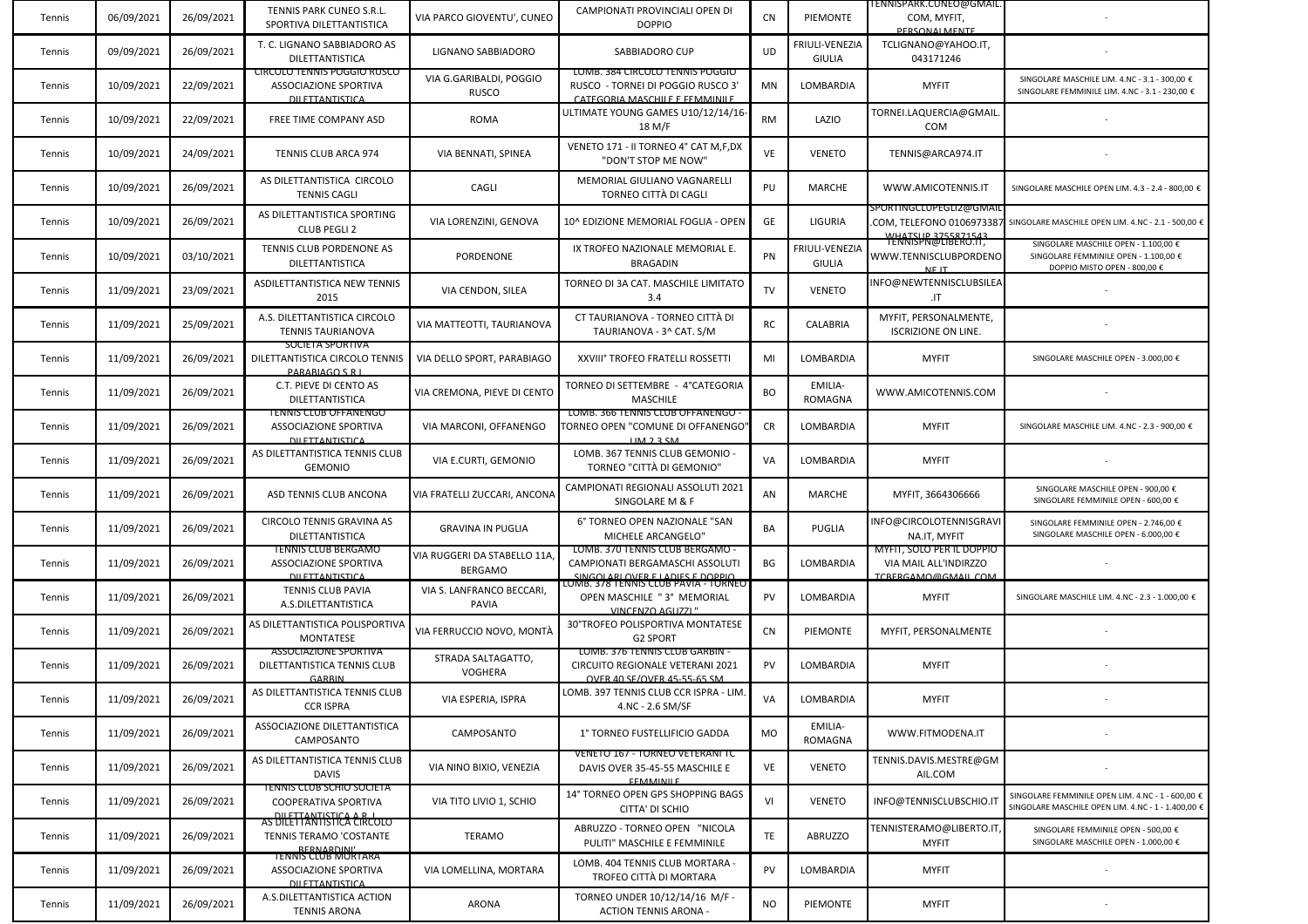| Tennis | 06/09/2021 | 26/09/2021 | TENNIS PARK CUNEO S.R.L.<br>SPORTIVA DILETTANTISTICA                                         | VIA PARCO GIOVENTU', CUNEO                    | CAMPIONATI PROVINCIALI OPEN DI<br><b>DOPPIO</b>                                                        | CN        | PIEMONTE                        | ENNISPARK.CUNEO@GMAIL.<br>COM, MYFIT,<br><b>DERSONALMENTE</b>                   |                                                                                                               |
|--------|------------|------------|----------------------------------------------------------------------------------------------|-----------------------------------------------|--------------------------------------------------------------------------------------------------------|-----------|---------------------------------|---------------------------------------------------------------------------------|---------------------------------------------------------------------------------------------------------------|
| Tennis | 09/09/2021 | 26/09/2021 | T. C. LIGNANO SABBIADORO AS<br>DILETTANTISTICA                                               | LIGNANO SABBIADORO                            | SABBIADORO CUP                                                                                         | UD        | FRIULI-VENEZIA<br><b>GIULIA</b> | TCLIGNANO@YAHOO.IT,<br>043171246                                                |                                                                                                               |
| Tennis | 10/09/2021 | 22/09/2021 | <b>CIRCOLO TENNIS POGGIO RUSCO</b><br><b>ASSOCIAZIONE SPORTIVA</b><br><b>DILETTANTISTICA</b> | VIA G.GARIBALDI, POGGIO<br><b>RUSCO</b>       | LOMB. 384 CIRCOLO TENNIS POGGIO<br>RUSCO - TORNEI DI POGGIO RUSCO 3'<br>CATEGORIA MASCHILE E FEMMINILE | MN        | LOMBARDIA                       | <b>MYFIT</b>                                                                    | SINGOLARE MASCHILE LIM. 4.NC - 3.1 - 300,00 €<br>SINGOLARE FEMMINILE LIM. 4.NC - 3.1 - 230,00 €               |
| Tennis | 10/09/2021 | 22/09/2021 | FREE TIME COMPANY ASD                                                                        | <b>ROMA</b>                                   | ULTIMATE YOUNG GAMES U10/12/14/16<br>18 M/F                                                            | <b>RM</b> | LAZIO                           | TORNEI.LAQUERCIA@GMAIL.<br><b>COM</b>                                           |                                                                                                               |
| Tennis | 10/09/2021 | 24/09/2021 | TENNIS CLUB ARCA 974                                                                         | VIA BENNATI, SPINEA                           | VENETO 171 - II TORNEO 4° CAT M,F,DX<br>"DON'T STOP ME NOW"                                            | VE        | <b>VENETO</b>                   | TENNIS@ARCA974.IT                                                               |                                                                                                               |
| Tennis | 10/09/2021 | 26/09/2021 | AS DILETTANTISTICA CIRCOLO<br><b>TENNIS CAGLI</b>                                            | CAGLI                                         | MEMORIAL GIULIANO VAGNARELLI<br>TORNEO CITTÀ DI CAGLI                                                  | PU        | MARCHE                          | WWW.AMICOTENNIS.IT                                                              | SINGOLARE MASCHILE OPEN LIM. 4.3 - 2.4 - 800,00 €                                                             |
| Tennis | 10/09/2021 | 26/09/2021 | AS DILETTANTISTICA SPORTING<br><b>CLUB PEGLI 2</b>                                           | VIA LORENZINI, GENOVA                         | 10^ EDIZIONE MEMORIAL FOGLIA - OPEN                                                                    | GE        | LIGURIA                         | SPORTINGCLUPEGLIZ@GMAII<br><b>WHATSUP 3755871543</b>                            | COM, TELEFONO 0106973387 SINGOLARE MASCHILE OPEN LIM. 4.NC - 2.1 - 500,00 $\epsilon$                          |
| Tennis | 10/09/2021 | 03/10/2021 | TENNIS CLUB PORDENONE AS<br>DILETTANTISTICA                                                  | PORDENONE                                     | IX TROFEO NAZIONALE MEMORIAL E.<br>BRAGADIN                                                            | PN        | FRIULI-VENEZIA<br><b>GIULIA</b> | TENNISPN@LIBERO.IT,<br>WWW.TENNISCLUBPORDENO<br>NE IT                           | SINGOLARE MASCHILE OPEN - 1.100,00 €<br>SINGOLARE FEMMINILE OPEN - 1.100,00 €<br>DOPPIO MISTO OPEN - 800,00 € |
| Tennis | 11/09/2021 | 23/09/2021 | ASDILETTANTISTICA NEW TENNIS<br>2015                                                         | VIA CENDON, SILEA                             | TORNEO DI 3A CAT. MASCHILE LIMITATO<br>3.4                                                             | TV        | <b>VENETO</b>                   | NFO@NEWTENNISCLUBSILEA<br>.IT                                                   |                                                                                                               |
| Tennis | 11/09/2021 | 25/09/2021 | A.S. DILETTANTISTICA CIRCOLO<br><b>TENNIS TAURIANOVA</b>                                     | VIA MATTEOTTI, TAURIANOVA                     | CT TAURIANOVA - TORNEO CITTÀ DI<br>TAURIANOVA - 3^ CAT. S/M                                            | RC        | CALABRIA                        | MYFIT, PERSONALMENTE,<br><b>ISCRIZIONE ON LINE.</b>                             |                                                                                                               |
| Tennis | 11/09/2021 | 26/09/2021 | SOCIETA SPORTIVA<br>DILETTANTISTICA CIRCOLO TENNIS<br><b>PARARIAGO S.R.</b>                  | VIA DELLO SPORT, PARABIAGO                    | XXVIII° TROFEO FRATELLI ROSSETTI                                                                       | MI        | LOMBARDIA                       | <b>MYFIT</b>                                                                    | SINGOLARE MASCHILE OPEN - 3.000,00 €                                                                          |
| Tennis | 11/09/2021 | 26/09/2021 | C.T. PIEVE DI CENTO AS<br><b>DILETTANTISTICA</b>                                             | VIA CREMONA, PIEVE DI CENTO                   | TORNEO DI SETTEMBRE - 4°CATEGORIA<br><b>MASCHILE</b>                                                   | <b>BO</b> | EMILIA-<br>ROMAGNA              | WWW.AMICOTENNIS.COM                                                             |                                                                                                               |
| Tennis | 11/09/2021 | 26/09/2021 | <b>TENNIS CLUB OFFANENGO</b><br>ASSOCIAZIONE SPORTIVA<br><b>DU ETTANTISTICA</b>              | VIA MARCONI, OFFANENGO                        | LOMB. 300 TENNIS CLUB OFFANENGO -<br>TORNEO OPEN "COMUNE DI OFFANENGO"<br>HM 2 3 SM                    | CR        | LOMBARDIA                       | <b>MYFIT</b>                                                                    | SINGOLARE MASCHILE LIM. 4.NC - 2.3 - 900,00 €                                                                 |
| Tennis | 11/09/2021 | 26/09/2021 | AS DILETTANTISTICA TENNIS CLUB<br><b>GEMONIO</b>                                             | VIA E.CURTI, GEMONIO                          | LOMB. 367 TENNIS CLUB GEMONIO -<br>TORNEO "CITTÀ DI GEMONIO"                                           | VA        | LOMBARDIA                       | <b>MYFIT</b>                                                                    |                                                                                                               |
| Tennis | 11/09/2021 | 26/09/2021 | ASD TENNIS CLUB ANCONA                                                                       | VIA FRATELLI ZUCCARI, ANCONA                  | CAMPIONATI REGIONALI ASSOLUTI 2021<br>SINGOLARE M & F                                                  | AN        | MARCHE                          | MYFIT, 3664306666                                                               | SINGOLARE MASCHILE OPEN - 900,00 €<br>SINGOLARE FEMMINILE OPEN - 600,00 €                                     |
| Tennis | 11/09/2021 | 26/09/2021 | CIRCOLO TENNIS GRAVINA AS<br>DILETTANTISTICA                                                 | <b>GRAVINA IN PUGLIA</b>                      | 6° TORNEO OPEN NAZIONALE "SAN<br>MICHELE ARCANGELO"                                                    | BA        | PUGLIA                          | INFO@CIRCOLOTENNISGRAVI<br>NA.IT, MYFIT                                         | SINGOLARE FEMMINILE OPEN - 2.746,00 €<br>SINGOLARE MASCHILE OPEN - 6.000,00 €                                 |
| Tennis | 11/09/2021 | 26/09/2021 | <b>TENNIS CLUB BERGAMO</b><br><b>ASSOCIAZIONE SPORTIVA</b><br>DILETTANTISTICA                | VIA RUGGERI DA STABELLO 11A<br><b>BERGAMO</b> | LOMB. 370 TENNIS CLUB BERGAMO<br>CAMPIONATI BERGAMASCHI ASSOLUTI<br>SINGOLARI OVER E LADIES E DOPPIO   | BG        | LOMBARDIA                       | <b>MYFIT, SOLO PER IL DOPPIO</b><br>VIA MAIL ALL'INDIRZZO<br>TCRERGAMO@GMAILCOM |                                                                                                               |
| Tennis | 11/09/2021 | 26/09/2021 | TENNIS CLUB PAVIA<br>A.S.DILETTANTISTICA                                                     | VIA S. LANFRANCO BECCARI,<br><b>PAVIA</b>     | <u> LOMB. 378 TENNIS CLUB PAVIA - TORNEO</u><br>OPEN MASCHILE "3° MEMORIAL<br>VINCENZO AGUZZL"         | PV        | LOMBARDIA                       | <b>MYFIT</b>                                                                    | SINGOLARE MASCHILE LIM. 4.NC - 2.3 - 1.000,00 €                                                               |
| Tennis | 11/09/2021 | 26/09/2021 | AS DILETTANTISTICA POLISPORTIVA<br><b>MONTATESE</b>                                          | VIA FERRUCCIO NOVO, MONTÀ                     | 30°TROFEO POLISPORTIVA MONTATESE<br><b>G2 SPORT</b>                                                    | CN        | <b>PIEMONTE</b>                 | MYFIT, PERSONALMENTE                                                            |                                                                                                               |
| Tennis | 11/09/2021 | 26/09/2021 | <b>ASSOCIAZIONE SPORTIVA</b><br>DILETTANTISTICA TENNIS CLUB<br><b>GARRIN</b>                 | STRADA SALTAGATTO,<br>VOGHERA                 | LOMB. 376 TENNIS CLUB GARBIN -<br>CIRCUITO REGIONALE VETERANI 2021<br>OVER 40 SE/OVER 45-55-65 SM      | PV        | LOMBARDIA                       | <b>MYFIT</b>                                                                    |                                                                                                               |
| Tennis | 11/09/2021 | 26/09/2021 | AS DILETTANTISTICA TENNIS CLUB<br><b>CCR ISPRA</b>                                           | VIA ESPERIA, ISPRA                            | LOMB. 397 TENNIS CLUB CCR ISPRA - LIM.<br>4.NC - 2.6 SM/SF                                             | VA        | LOMBARDIA                       | <b>MYFIT</b>                                                                    |                                                                                                               |
| Tennis | 11/09/2021 | 26/09/2021 | ASSOCIAZIONE DILETTANTISTICA<br>CAMPOSANTO                                                   | CAMPOSANTO                                    | 1° TORNEO FUSTELLIFICIO GADDA                                                                          | MO        | EMILIA-<br><b>ROMAGNA</b>       | WWW.FITMODENA.IT                                                                |                                                                                                               |
| Tennis | 11/09/2021 | 26/09/2021 | AS DILETTANTISTICA TENNIS CLUB<br><b>DAVIS</b>                                               | VIA NINO BIXIO, VENEZIA                       | VENETO 167 - TORNEO VETERANI TC<br>DAVIS OVER 35-45-55 MASCHILE E<br><b>EFMMINILE</b>                  | VE        | <b>VENETO</b>                   | TENNIS.DAVIS.MESTRE@GM<br>AIL.COM                                               |                                                                                                               |
| Tennis | 11/09/2021 | 26/09/2021 | TENNIS CLUB SCHIO SOCIETA<br>COOPERATIVA SPORTIVA<br>AS DILETTANTISTICA A B. L               | VIA TITO LIVIO 1, SCHIO                       | 14° TORNEO OPEN GPS SHOPPING BAGS<br>CITTA' DI SCHIO                                                   | VI        | <b>VENETO</b>                   | INFO@TENNISCLUBSCHIO.IT                                                         | SINGOLARE FEMMINILE OPEN LIM. 4.NC - 1 - 600,00 €<br>SINGOLARE MASCHILE OPEN LIM. 4.NC - 1 - 1.400,00 €       |
| Tennis | 11/09/2021 | 26/09/2021 | <b>TENNIS TERAMO 'COSTANTE</b><br><b>RERNARDINI'</b>                                         | TERAMO                                        | ABRUZZO - TORNEO OPEN "NICOLA<br>PULITI" MASCHILE E FEMMINILE                                          | TE        | <b>ABRUZZO</b>                  | TENNISTERAMO@LIBERTO.IT<br><b>MYFIT</b>                                         | SINGOLARE FEMMINILE OPEN - 500,00 €<br>SINGOLARE MASCHILE OPEN - 1.000,00 €                                   |
| Tennis | 11/09/2021 | 26/09/2021 | <b>TENNIS CLUB MORTARA</b><br>ASSOCIAZIONE SPORTIVA<br>DILETTANTISTICA                       | VIA LOMELLINA. MORTARA                        | LOMB. 404 TENNIS CLUB MORTARA -<br>TROFEO CITTÀ DI MORTARA                                             | PV        | LOMBARDIA                       | <b>MYFIT</b>                                                                    |                                                                                                               |
| Tennis | 11/09/2021 | 26/09/2021 | A.S.DILETTANTISTICA ACTION<br><b>TENNIS ARONA</b>                                            | <b>ARONA</b>                                  | TORNEO UNDER 10/12/14/16 M/F -<br><b>ACTION TENNIS ARONA -</b>                                         | NO.       | PIEMONTE                        | <b>MYFIT</b>                                                                    |                                                                                                               |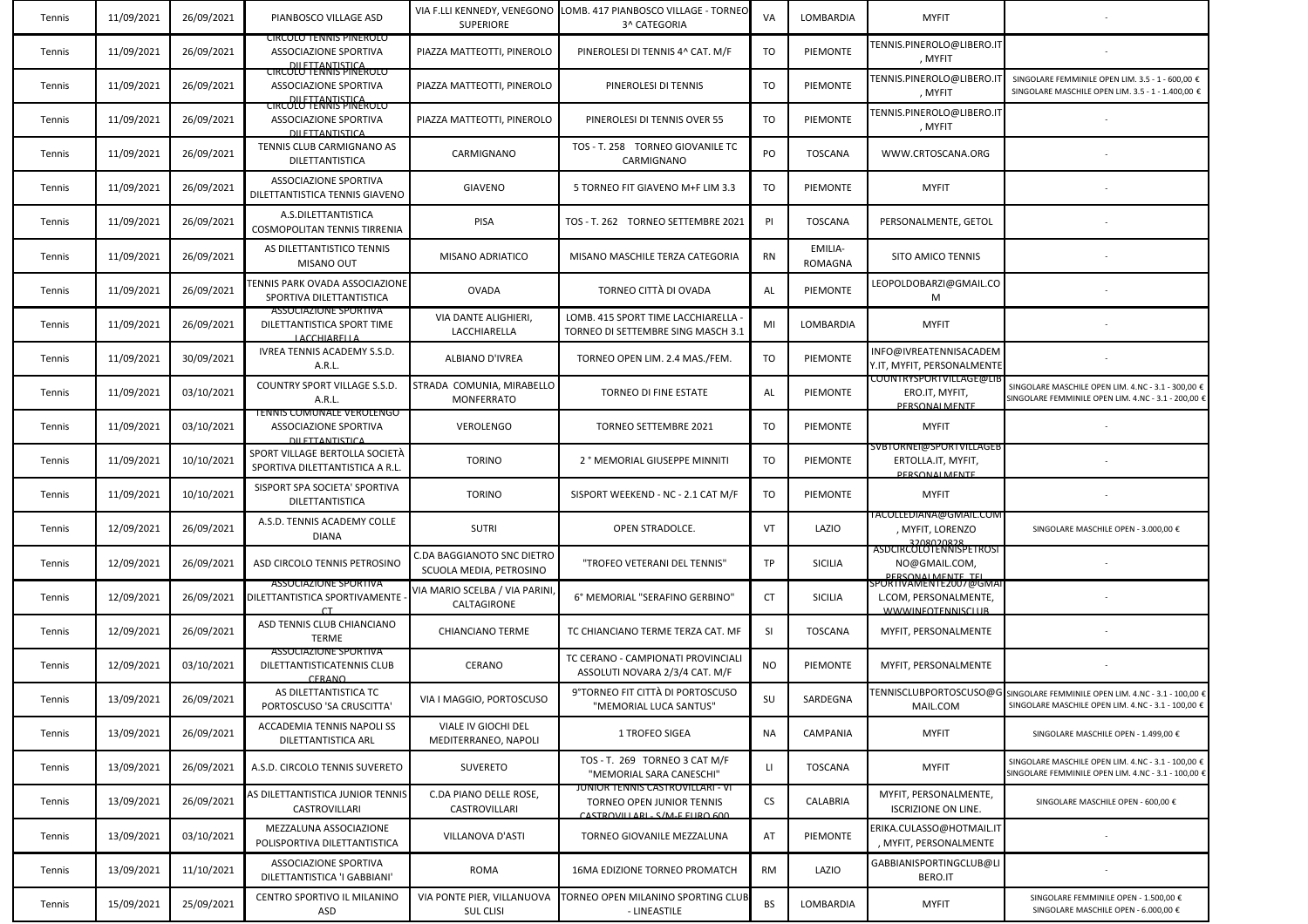| Tennis | 11/09/2021 | 26/09/2021 | PIANBOSCO VILLAGE ASD                                                             | <b>SUPERIORE</b>                                      | VIA F.LLI KENNEDY, VENEGONO TLOMB. 417 PIANBOSCO VILLAGE - TORNEO<br>3^ CATEGORIA              | VA        | LOMBARDIA                 | <b>MYFIT</b>                                                                        |                                                                                                                                           |
|--------|------------|------------|-----------------------------------------------------------------------------------|-------------------------------------------------------|------------------------------------------------------------------------------------------------|-----------|---------------------------|-------------------------------------------------------------------------------------|-------------------------------------------------------------------------------------------------------------------------------------------|
| Tennis | 11/09/2021 | 26/09/2021 | <b>CIRCOLO TENNIS PINEROLO</b><br>ASSOCIAZIONE SPORTIVA<br>DILETTANTISTICA        | PIAZZA MATTEOTTI, PINEROLO                            | PINEROLESI DI TENNIS 4^ CAT. M/F                                                               | TO        | PIEMONTE                  | FENNIS.PINEROLO@LIBERO.IT<br>, MYFIT                                                |                                                                                                                                           |
| Tennis | 11/09/2021 | 26/09/2021 | <b>CIRCOLO TENNIS PINEROLO</b><br>ASSOCIAZIONE SPORTIVA<br>DILETTANTISTICA        | PIAZZA MATTEOTTI, PINEROLO                            | PINEROLESI DI TENNIS                                                                           | TO        | PIEMONTE                  | <b>FENNIS.PINEROLO@LIBERO.I</b><br>, MYFIT                                          | SINGOLARE FEMMINILE OPEN LIM. 3.5 - 1 - 600,00 €<br>SINGOLARE MASCHILE OPEN LIM. 3.5 - 1 - 1.400,00 €                                     |
| Tennis | 11/09/2021 | 26/09/2021 | <b>CIRCOLO TENNIS PINEROLO</b><br>ASSOCIAZIONE SPORTIVA<br><b>DU ETTANTISTICA</b> | PIAZZA MATTEOTTI, PINEROLO                            | PINEROLESI DI TENNIS OVER 55                                                                   | TO        | PIEMONTE                  | <b>FENNIS.PINEROLO@LIBERO.IT</b><br>, MYFIT                                         |                                                                                                                                           |
| Tennis | 11/09/2021 | 26/09/2021 | TENNIS CLUB CARMIGNANO AS<br>DILETTANTISTICA                                      | CARMIGNANO                                            | TOS - T. 258 TORNEO GIOVANILE TC<br>CARMIGNANO                                                 | PO        | <b>TOSCANA</b>            | WWW.CRTOSCANA.ORG                                                                   |                                                                                                                                           |
| Tennis | 11/09/2021 | 26/09/2021 | ASSOCIAZIONE SPORTIVA<br>DILETTANTISTICA TENNIS GIAVENO                           | <b>GIAVENO</b>                                        | 5 TORNEO FIT GIAVENO M+F LIM 3.3                                                               | TO        | PIEMONTE                  | <b>MYFIT</b>                                                                        |                                                                                                                                           |
| Tennis | 11/09/2021 | 26/09/2021 | A.S.DILETTANTISTICA<br><b>COSMOPOLITAN TENNIS TIRRENIA</b>                        | PISA                                                  | TOS - T. 262 TORNEO SETTEMBRE 2021                                                             | PI        | <b>TOSCANA</b>            | PERSONALMENTE, GETOL                                                                |                                                                                                                                           |
| Tennis | 11/09/2021 | 26/09/2021 | AS DILETTANTISTICO TENNIS<br>MISANO OUT                                           | MISANO ADRIATICO                                      | MISANO MASCHILE TERZA CATEGORIA                                                                | <b>RN</b> | EMILIA-<br><b>ROMAGNA</b> | SITO AMICO TENNIS                                                                   |                                                                                                                                           |
| Tennis | 11/09/2021 | 26/09/2021 | <b>FENNIS PARK OVADA ASSOCIAZIONE</b><br>SPORTIVA DILETTANTISTICA                 | <b>OVADA</b>                                          | TORNEO CITTÀ DI OVADA                                                                          | AL        | PIEMONTE                  | LEOPOLDOBARZI@GMAIL.CO<br>M                                                         |                                                                                                                                           |
| Tennis | 11/09/2021 | 26/09/2021 | <b>ASSOCIAZIONE SPORTIVA</b><br>DILETTANTISTICA SPORT TIME<br><b>LACCHIARELLA</b> | VIA DANTE ALIGHIERI,<br>LACCHIARELLA                  | LOMB. 415 SPORT TIME LACCHIARELLA<br>TORNEO DI SETTEMBRE SING MASCH 3.1                        | MI        | LOMBARDIA                 | <b>MYFIT</b>                                                                        |                                                                                                                                           |
| Tennis | 11/09/2021 | 30/09/2021 | IVREA TENNIS ACADEMY S.S.D.<br>A.R.L.                                             | <b>ALBIANO D'IVREA</b>                                | TORNEO OPEN LIM. 2.4 MAS./FEM.                                                                 | TO        | PIEMONTE                  | INFO@IVREATENNISACADEM<br>Y.IT, MYFIT, PERSONALMENTE                                |                                                                                                                                           |
| Tennis | 11/09/2021 | 03/10/2021 | COUNTRY SPORT VILLAGE S.S.D.<br>A.R.L.                                            | STRADA COMUNIA, MIRABELLO<br><b>MONFERRATO</b>        | TORNEO DI FINE ESTATE                                                                          | AL        | PIEMONTE                  | <u>COUNTRYSPORTVILLAGE@LI</u><br>ERO.IT, MYFIT,<br>PERSONAL MENTE                   | SINGOLARE MASCHILE OPEN LIM. 4.NC - 3.1 - 300,00 €<br>SINGOLARE FEMMINILE OPEN LIM. 4.NC - 3.1 - 200,00 €                                 |
| Tennis | 11/09/2021 | 03/10/2021 | TENNIS COMUNALE VERULENGO<br>ASSOCIAZIONE SPORTIVA<br><b>DILETTANTISTICA</b>      | <b>VEROLENGO</b>                                      | TORNEO SETTEMBRE 2021                                                                          | TO        | PIEMONTE                  | <b>MYFIT</b>                                                                        |                                                                                                                                           |
| Tennis | 11/09/2021 | 10/10/2021 | SPORT VILLAGE BERTOLLA SOCIETÀ<br>SPORTIVA DILETTANTISTICA A R.L.                 | <b>TORINO</b>                                         | 2 ° MEMORIAL GIUSEPPE MINNITI                                                                  | TO        | PIEMONTE                  | <u>SVBTORNET@SPORTVILLAGEB</u><br>ERTOLLA.IT, MYFIT,<br>PERSONAL MENTE              |                                                                                                                                           |
| Tennis | 11/09/2021 | 10/10/2021 | SISPORT SPA SOCIETA' SPORTIVA<br>DILETTANTISTICA                                  | <b>TORINO</b>                                         | SISPORT WEEKEND - NC - 2.1 CAT M/F                                                             | TO        | <b>PIEMONTE</b>           | <b>MYFIT</b>                                                                        |                                                                                                                                           |
| Tennis | 12/09/2021 | 26/09/2021 | A.S.D. TENNIS ACADEMY COLLE<br><b>DIANA</b>                                       | <b>SUTRI</b>                                          | OPEN STRADOLCE.                                                                                | VT        | LAZIO                     | TACOLLEDIANA@GMAIL.COM<br>, MYFIT, LORENZO<br>3208020828<br>ASDCIRCOLOTENNISPETROST | SINGOLARE MASCHILE OPEN - 3.000,00 €                                                                                                      |
| Tennis | 12/09/2021 | 26/09/2021 | ASD CIRCOLO TENNIS PETROSINO                                                      | C.DA BAGGIANOTO SNC DIETRO<br>SCUOLA MEDIA, PETROSINO | "TROFEO VETERANI DEL TENNIS"                                                                   | TP        | <b>SICILIA</b>            | NO@GMAIL.COM,<br><b>DERSONALMENTE TEL</b>                                           |                                                                                                                                           |
| Tennis | 12/09/2021 | 26/09/2021 | <b>ASSOCIAZIONE SPORTIVA</b><br>DILETTANTISTICA SPORTIVAMENTE                     | VIA MARIO SCELBA / VIA PARINI,<br>CALTAGIRONE         | 6° MEMORIAL "SERAFINO GERBINO"                                                                 | CT        | <b>SICILIA</b>            | PORTIVAMENTE2007@GMA<br>L.COM, PERSONALMENTE,<br><b>WWWINFOTENNISCLUB</b>           |                                                                                                                                           |
| Tennis | 12/09/2021 | 26/09/2021 | ASD TENNIS CLUB CHIANCIANO<br>TERME                                               | <b>CHIANCIANO TERME</b>                               | TC CHIANCIANO TERME TERZA CAT. MF                                                              | <b>SI</b> | <b>TOSCANA</b>            | MYFIT, PERSONALMENTE                                                                |                                                                                                                                           |
| Tennis | 12/09/2021 | 03/10/2021 | <b>ASSOCIAZIONE SPORTIVA</b><br>DILETTANTISTICATENNIS CLUB<br>CERANO              | CERANO                                                | TC CERANO - CAMPIONATI PROVINCIALI<br>ASSOLUTI NOVARA 2/3/4 CAT. M/F                           | NO        | PIEMONTE                  | MYFIT, PERSONALMENTE                                                                |                                                                                                                                           |
| Tennis | 13/09/2021 | 26/09/2021 | AS DILETTANTISTICA TC<br>PORTOSCUSO 'SA CRUSCITTA'                                | VIA I MAGGIO, PORTOSCUSO                              | 9°TORNEO FIT CITTÀ DI PORTOSCUSO<br>"MEMORIAL LUCA SANTUS'                                     | SU        | SARDEGNA                  | MAIL.COM                                                                            | TENNISCLUBPORTOSCUSO@G SINGOLARE FEMMINILE OPEN LIM. 4.NC - 3.1 - 100,00 $\epsilon$<br>SINGOLARE MASCHILE OPEN LIM. 4.NC - 3.1 - 100,00 € |
| Tennis | 13/09/2021 | 26/09/2021 | ACCADEMIA TENNIS NAPOLI SS<br>DILETTANTISTICA ARL                                 | VIALE IV GIOCHI DEL<br>MEDITERRANEO, NAPOLI           | 1 TROFEO SIGEA                                                                                 | <b>NA</b> | CAMPANIA                  | <b>MYFIT</b>                                                                        | SINGOLARE MASCHILE OPEN - 1.499,00 €                                                                                                      |
| Tennis | 13/09/2021 | 26/09/2021 | A.S.D. CIRCOLO TENNIS SUVERETO                                                    | SUVERETO                                              | TOS - T. 269 TORNEO 3 CAT M/F<br>"MEMORIAL SARA CANESCHI"                                      | LI.       | <b>TOSCANA</b>            | <b>MYFIT</b>                                                                        | SINGOLARE MASCHILE OPEN LIM. 4.NC - 3.1 - 100,00 €<br>SINGOLARE FEMMINILE OPEN LIM. 4.NC - 3.1 - 100,00 €                                 |
| Tennis | 13/09/2021 | 26/09/2021 | AS DILETTANTISTICA JUNIOR TENNIS<br>CASTROVILLARI                                 | C.DA PIANO DELLE ROSE.<br>CASTROVILLARI               | JUNIOR TENNIS CASTROVILLARI - VI<br>TORNEO OPEN JUNIOR TENNIS<br>CASTROVILLARL, S/M.F FURO 600 | <b>CS</b> | CALABRIA                  | MYFIT, PERSONALMENTE,<br><b>ISCRIZIONE ON LINE.</b>                                 | SINGOLARE MASCHILE OPEN - 600,00 €                                                                                                        |
| Tennis | 13/09/2021 | 03/10/2021 | MEZZALUNA ASSOCIAZIONE<br>POLISPORTIVA DILETTANTISTICA                            | VILLANOVA D'ASTI                                      | TORNEO GIOVANILE MEZZALUNA                                                                     | AT        | PIEMONTE                  | ERIKA.CULASSO@HOTMAIL.IT<br>, MYFIT, PERSONALMENTE                                  |                                                                                                                                           |
| Tennis | 13/09/2021 | 11/10/2021 | ASSOCIAZIONE SPORTIVA<br>DILETTANTISTICA 'I GABBIANI'                             | ROMA                                                  | <b>16MA EDIZIONE TORNEO PROMATCH</b>                                                           | <b>RM</b> | LAZIO                     | <b>GABBIANISPORTINGCLUB@LI</b><br>BERO.IT                                           |                                                                                                                                           |
| Tennis | 15/09/2021 | 25/09/2021 | CENTRO SPORTIVO IL MILANINO<br>ASD                                                | VIA PONTE PIER, VILLANUOVA<br><b>SUL CLISI</b>        | TORNEO OPEN MILANINO SPORTING CLUB<br>- LINEASTILE                                             | <b>BS</b> | LOMBARDIA                 | <b>MYFIT</b>                                                                        | SINGOLARE FEMMINILE OPEN - 1.500,00 €<br>SINGOLARE MASCHILE OPEN - 6.000,00 €                                                             |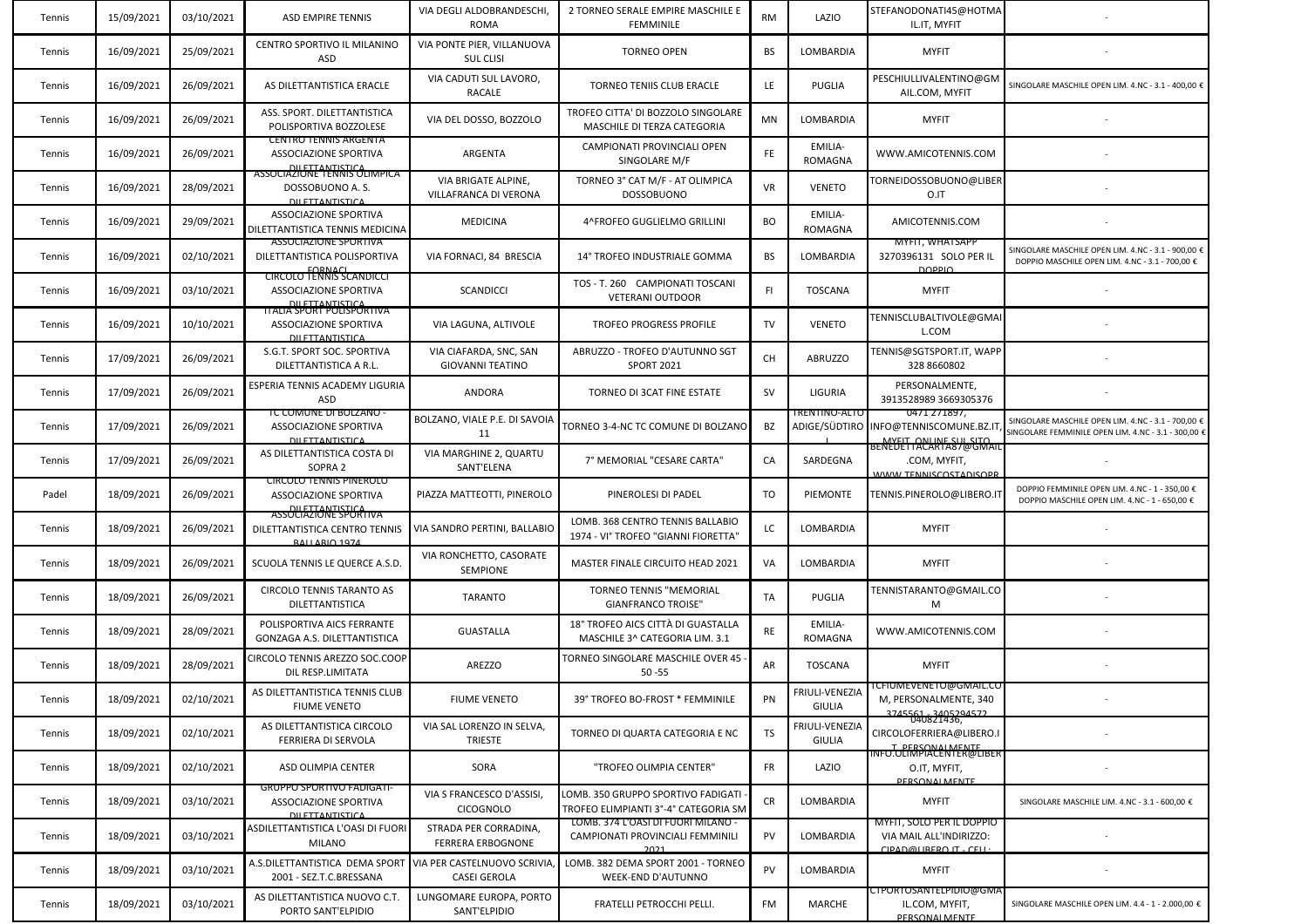| Tennis | 15/09/2021 | 03/10/2021 | <b>ASD EMPIRE TENNIS</b>                                                                     | VIA DEGLI ALDOBRANDESCHI,<br>ROMA                  | 2 TORNEO SERALE EMPIRE MASCHILE E<br><b>FEMMINILE</b>                          | <b>RM</b> | LAZIO                           | STEFANODONATI45@HOTMA<br>IL.IT, MYFIT                                                                    |                                                                                                           |
|--------|------------|------------|----------------------------------------------------------------------------------------------|----------------------------------------------------|--------------------------------------------------------------------------------|-----------|---------------------------------|----------------------------------------------------------------------------------------------------------|-----------------------------------------------------------------------------------------------------------|
| Tennis | 16/09/2021 | 25/09/2021 | CENTRO SPORTIVO IL MILANINO<br>ASD                                                           | VIA PONTE PIER, VILLANUOVA<br><b>SUL CLISI</b>     | <b>TORNEO OPEN</b>                                                             | BS        | LOMBARDIA                       | <b>MYFIT</b>                                                                                             |                                                                                                           |
| Tennis | 16/09/2021 | 26/09/2021 | AS DILETTANTISTICA ERACLE                                                                    | VIA CADUTI SUL LAVORO,<br><b>RACALE</b>            | <b>TORNEO TENIIS CLUB ERACLE</b>                                               | LE        | <b>PUGLIA</b>                   | PESCHIULLIVALENTINO@GM<br>AIL.COM, MYFIT                                                                 | SINGOLARE MASCHILE OPEN LIM. 4.NC - 3.1 - 400,00 €                                                        |
| Tennis | 16/09/2021 | 26/09/2021 | ASS. SPORT. DILETTANTISTICA<br>POLISPORTIVA BOZZOLESE                                        | VIA DEL DOSSO, BOZZOLO                             | TROFEO CITTA' DI BOZZOLO SINGOLARE<br>MASCHILE DI TERZA CATEGORIA              | <b>MN</b> | LOMBARDIA                       | <b>MYFIT</b>                                                                                             |                                                                                                           |
| Tennis | 16/09/2021 | 26/09/2021 | CENTRO TENNIS ARGENTA<br>ASSOCIAZIONE SPORTIVA<br>DILETTANTISTICA                            | ARGENTA                                            | CAMPIONATI PROVINCIALI OPEN<br>SINGOLARE M/F                                   | FE.       | EMILIA-<br>ROMAGNA              | WWW.AMICOTENNIS.COM                                                                                      |                                                                                                           |
| Tennis | 16/09/2021 | 28/09/2021 | ASSOCIAZIONE TENNIS OLIMPICA<br>DOSSOBUONO A.S.<br><b>DU ETTANTISTICA</b>                    | VIA BRIGATE ALPINE,<br>VILLAFRANCA DI VERONA       | TORNEO 3° CAT M/F - AT OLIMPICA<br><b>DOSSOBUONO</b>                           | <b>VR</b> | <b>VENETO</b>                   | TORNEIDOSSOBUONO@LIBER<br>O.IT                                                                           |                                                                                                           |
| Tennis | 16/09/2021 | 29/09/2021 | ASSOCIAZIONE SPORTIVA<br>DILETTANTISTICA TENNIS MEDICINA                                     | <b>MEDICINA</b>                                    | 4^FROFEO GUGLIELMO GRILLINI                                                    | BO        | EMILIA-<br><b>ROMAGNA</b>       | AMICOTENNIS.COM                                                                                          |                                                                                                           |
| Tennis | 16/09/2021 | 02/10/2021 | ASSOCIAZIONE SPORTIVA<br>DILETTANTISTICA POLISPORTIVA<br><b>EORNAC</b>                       | VIA FORNACI, 84 BRESCIA                            | 14° TROFEO INDUSTRIALE GOMMA                                                   | BS        | LOMBARDIA                       | MYFII, WHATSAPF<br>3270396131 SOLO PER IL<br><b>DOPPIO</b>                                               | SINGOLARE MASCHILE OPEN LIM. 4.NC - 3.1 - 900,00 €<br>DOPPIO MASCHILE OPEN LIM. 4.NC - 3.1 - 700,00 €     |
| Tennis | 16/09/2021 | 03/10/2021 | <b>CIRCOLO TENNIS SCANDICCI</b><br>ASSOCIAZIONE SPORTIVA<br>DILETTANTISTICA                  | <b>SCANDICCI</b>                                   | TOS - T. 260 CAMPIONATI TOSCANI<br><b>VETERANI OUTDOOR</b>                     | FI.       | <b>TOSCANA</b>                  | <b>MYFIT</b>                                                                                             |                                                                                                           |
| Tennis | 16/09/2021 | 10/10/2021 | <u> HALIA SPORT POLISPORTIVA</u><br>ASSOCIAZIONE SPORTIVA<br><b>DILETTANTISTICA</b>          | VIA LAGUNA, ALTIVOLE                               | TROFEO PROGRESS PROFILE                                                        | TV        | <b>VENETO</b>                   | TENNISCLUBALTIVOLE@GMAI<br>L.COM                                                                         |                                                                                                           |
| Tennis | 17/09/2021 | 26/09/2021 | S.G.T. SPORT SOC. SPORTIVA<br>DILETTANTISTICA A R.L.                                         | VIA CIAFARDA, SNC, SAN<br><b>GIOVANNI TEATINO</b>  | ABRUZZO - TROFEO D'AUTUNNO SGT<br><b>SPORT 2021</b>                            | CH        | <b>ABRUZZO</b>                  | TENNIS@SGTSPORT.IT, WAPP<br>328 8660802                                                                  |                                                                                                           |
| Tennis | 17/09/2021 | 26/09/2021 | ESPERIA TENNIS ACADEMY LIGURIA<br><b>ASD</b>                                                 | ANDORA                                             | TORNEO DI 3CAT FINE ESTATE                                                     | <b>SV</b> | LIGURIA                         | PERSONALMENTE,<br>3913528989 3669305376                                                                  |                                                                                                           |
| Tennis | 17/09/2021 | 26/09/2021 | <b>TC COMUNE DI BOLZANO</b><br>ASSOCIAZIONE SPORTIVA<br><b><i><u>DILETTANTISTICA</u></i></b> | BOLZANO, VIALE P.E. DI SAVOIA<br>11                | TORNEO 3-4-NC TC COMUNE DI BOLZANO                                             | BZ        | <u>TRENTINO-ALTO</u>            | 0471 271897,<br>ADIGE/SÜDTIRO INFO@TENNISCOMUNE.BZ.IT<br>MYELT ONLINE SUL SITO<br>BENEDETTACARTA87@GMAII | SINGOLARE MASCHILE OPEN LIM. 4.NC - 3.1 - 700,00 €<br>SINGOLARE FEMMINILE OPEN LIM. 4.NC - 3.1 - 300,00 € |
| Tennis | 17/09/2021 | 26/09/2021 | AS DILETTANTISTICA COSTA DI<br>SOPRA 2                                                       | VIA MARGHINE 2, QUARTU<br>SANT'ELENA               | 7° MEMORIAL "CESARE CARTA"                                                     | CA        | SARDEGNA                        | .COM, MYFIT,<br><b>WWW TENNISCOSTADISOPR</b>                                                             |                                                                                                           |
| Padel  | 18/09/2021 | 26/09/2021 | <b>CIRCOLO TENNIS PINEROLO</b><br>ASSOCIAZIONE SPORTIVA<br>DILETTANTISTIC                    | PIAZZA MATTEOTTI, PINEROLO                         | PINEROLESI DI PADEL                                                            | TO        | PIEMONTE                        | TENNIS.PINEROLO@LIBERO.I'                                                                                | DOPPIO FEMMINILE OPEN LIM. 4.NC - 1 - 350,00 €<br>DOPPIO MASCHILE OPEN LIM. 4.NC - 1 - 650,00 €           |
| Tennis | 18/09/2021 | 26/09/2021 | <b>ASSOCIAZIONE SPORTIVA</b><br>DILETTANTISTICA CENTRO TENNIS<br><b>RAILARIO 1974</b>        | VIA SANDRO PERTINI, BALLABIO                       | LOMB. 368 CENTRO TENNIS BALLABIO<br>1974 - VIº TROFEO "GIANNI FIORETTA'        | LC        | LOMBARDIA                       | <b>MYFIT</b>                                                                                             |                                                                                                           |
| Tennis | 18/09/2021 | 26/09/2021 | SCUOLA TENNIS LE QUERCE A.S.D.                                                               | VIA RONCHETTO, CASORATE<br><b>SEMPIONE</b>         | MASTER FINALE CIRCUITO HEAD 2021                                               | VA        | LOMBARDIA                       | <b>MYFIT</b>                                                                                             |                                                                                                           |
| Tennis | 18/09/2021 | 26/09/2021 | CIRCOLO TENNIS TARANTO AS<br>DILETTANTISTICA                                                 | <b>TARANTO</b>                                     | <b>TORNEO TENNIS "MEMORIAL</b><br><b>GIANFRANCO TROISE"</b>                    | TA        | PUGLIA                          | TENNISTARANTO@GMAIL.CO<br>М                                                                              |                                                                                                           |
| Tennis | 18/09/2021 | 28/09/2021 | POLISPORTIVA AICS FERRANTE<br>GONZAGA A.S. DILETTANTISTICA                                   | <b>GUASTALLA</b>                                   | 18° TROFEO AICS CITTÀ DI GUASTALLA<br>MASCHILE 3^ CATEGORIA LIM. 3.1           | RE        | EMILIA-<br><b>ROMAGNA</b>       | WWW.AMICOTENNIS.COM                                                                                      |                                                                                                           |
| Tennis | 18/09/2021 | 28/09/2021 | CIRCOLO TENNIS AREZZO SOC.COOP<br>DIL RESP.LIMITATA                                          | AREZZO                                             | TORNEO SINGOLARE MASCHILE OVER 45<br>$50 - 55$                                 | AR        | <b>TOSCANA</b>                  | <b>MYFIT</b>                                                                                             |                                                                                                           |
| Tennis | 18/09/2021 | 02/10/2021 | AS DILETTANTISTICA TENNIS CLUB<br><b>FIUME VENETO</b>                                        | <b>FIUME VENETO</b>                                | 39° TROFEO BO-FROST * FEMMINILE                                                | PN        | FRIULI-VENEZIA<br>GIULIA        | <u> ICHUMEVENETO@GMAIL.CO</u><br>M, PERSONALMENTE, 340                                                   |                                                                                                           |
| Tennis | 18/09/2021 | 02/10/2021 | AS DILETTANTISTICA CIRCOLO<br>FERRIERA DI SERVOLA                                            | VIA SAL LORENZO IN SELVA,<br><b>TRIESTE</b>        | TORNEO DI QUARTA CATEGORIA E NC                                                | TS        | FRIULI-VENEZIA<br><b>GIULIA</b> | CIRCOLOFERRIERA@LIBERO.I<br>T DERSONALMENTE                                                              |                                                                                                           |
| Tennis | 18/09/2021 | 02/10/2021 | ASD OLIMPIA CENTER                                                                           | SORA                                               | "TROFEO OLIMPIA CENTER"                                                        | <b>FR</b> | LAZIO                           | INFO.OLIMPIACENTER@LIBER<br>O.IT, MYFIT,<br>PERSONAL MENTE                                               |                                                                                                           |
| Tennis | 18/09/2021 | 03/10/2021 | GRUPPO SPORTIVO FADIGATI-<br>ASSOCIAZIONE SPORTIVA<br><b>DILETTANTISTICA</b>                 | VIA S FRANCESCO D'ASSISI,<br><b>CICOGNOLO</b>      | LOMB. 350 GRUPPO SPORTIVO FADIGATI<br>TROFEO ELIMPIANTI 3°-4° CATEGORIA SM     | CR        | LOMBARDIA                       | <b>MYFIT</b>                                                                                             | SINGOLARE MASCHILE LIM. 4.NC - 3.1 - 600,00 €                                                             |
| Tennis | 18/09/2021 | 03/10/2021 | ASDILETTANTISTICA L'OASI DI FUORI<br><b>MILANO</b>                                           | STRADA PER CORRADINA,<br><b>FERRERA ERBOGNONE</b>  | LOMB. 374 L'OASI DI FUORI MILANO -<br>CAMPIONATI PROVINCIALI FEMMINILI<br>2021 | PV        | LOMBARDIA                       | MYFII, SOLO PER IL DOPPIO<br>VIA MAIL ALL'INDIRIZZO:<br>CIPAD@LIRERO IT_CELL:                            |                                                                                                           |
| Tennis | 18/09/2021 | 03/10/2021 | A.S.DILETTANTISTICA DEMA SPORT<br>2001 - SEZ.T.C.BRESSANA                                    | VIA PER CASTELNUOVO SCRIVIA<br><b>CASEI GEROLA</b> | LOMB. 382 DEMA SPORT 2001 - TORNEO<br>WEEK-END D'AUTUNNO                       | PV        | LOMBARDIA                       | <b>MYFIT</b>                                                                                             |                                                                                                           |
| Tennis | 18/09/2021 | 03/10/2021 | AS DILETTANTISTICA NUOVO C.T.<br>PORTO SANT'ELPIDIO                                          | LUNGOMARE EUROPA, PORTO<br>SANT'ELPIDIO            | FRATELLI PETROCCHI PELLI.                                                      | FM        | MARCHE                          | .TPORTOSANTELPIDIO@GMA<br>IL.COM, MYFIT,<br><b>DERSONALMENTE</b>                                         | SINGOLARE MASCHILE OPEN LIM. 4.4 - 1 - 2.000,00 €                                                         |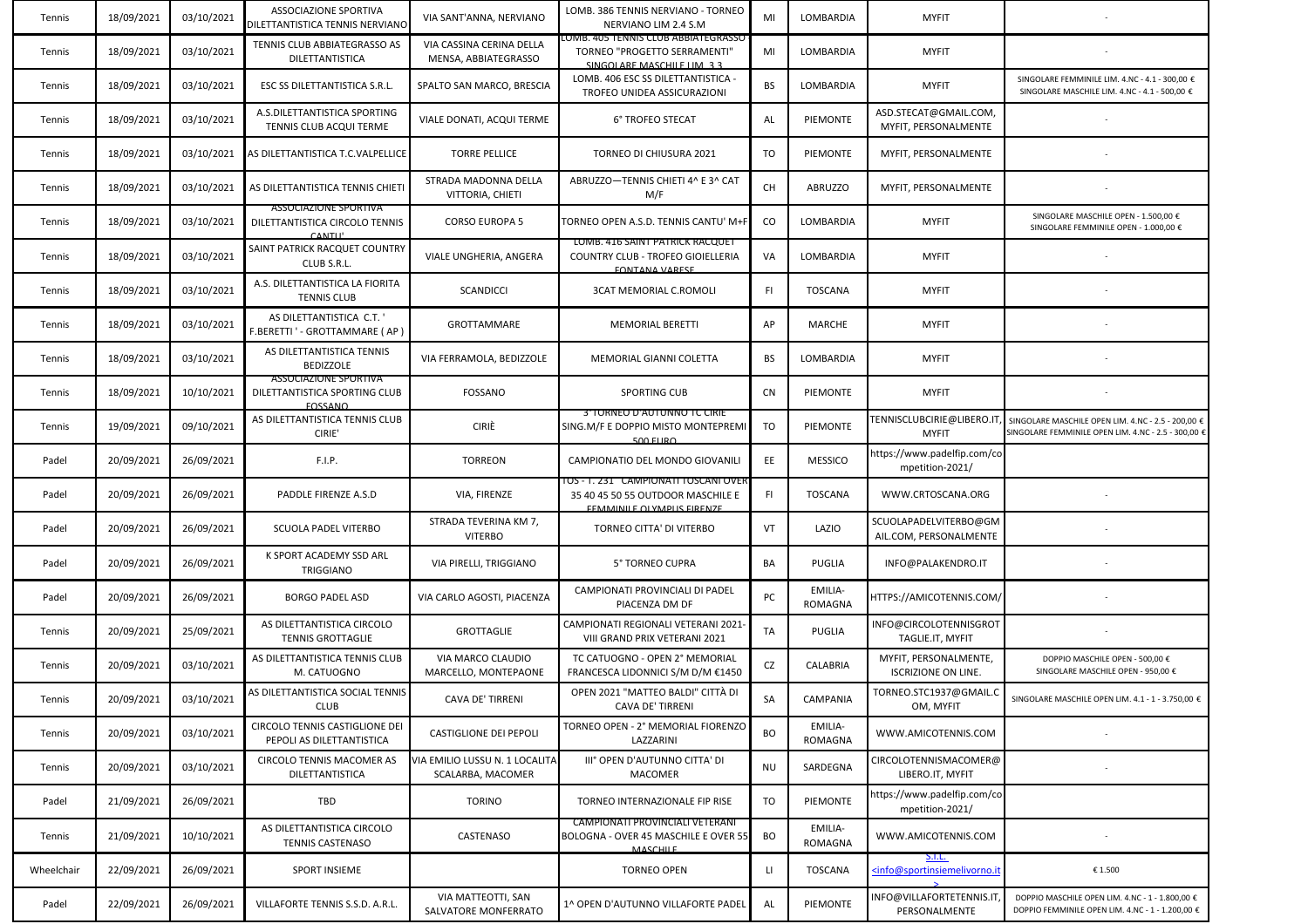| Tennis     | 18/09/2021 | 03/10/2021 | ASSOCIAZIONE SPORTIVA<br>DILETTANTISTICA TENNIS NERVIANO                        | VIA SANT'ANNA, NERVIANO                             | LOMB. 386 TENNIS NERVIANO - TORNEO<br>NERVIANO LIM 2.4 S.M                                                               | MI           | LOMBARDIA                 | <b>MYFIT</b>                                                                                         |                                                                                                           |
|------------|------------|------------|---------------------------------------------------------------------------------|-----------------------------------------------------|--------------------------------------------------------------------------------------------------------------------------|--------------|---------------------------|------------------------------------------------------------------------------------------------------|-----------------------------------------------------------------------------------------------------------|
| Tennis     | 18/09/2021 | 03/10/2021 | TENNIS CLUB ABBIATEGRASSO AS<br>DILETTANTISTICA                                 | VIA CASSINA CERINA DELLA<br>MENSA, ABBIATEGRASSO    | LOMB. 405 TENNIS CLUB ABBIATEGRASSO<br>TORNEO "PROGETTO SERRAMENTI"<br>SINGOLARE MASCHILE LIM 3.3                        | MI           | LOMBARDIA                 | <b>MYFIT</b>                                                                                         |                                                                                                           |
| Tennis     | 18/09/2021 | 03/10/2021 | <b>ESC SS DILETTANTISTICA S.R.L.</b>                                            | SPALTO SAN MARCO, BRESCIA                           | LOMB. 406 ESC SS DILETTANTISTICA -<br>TROFEO UNIDEA ASSICURAZIONI                                                        | BS           | LOMBARDIA                 | <b>MYFIT</b>                                                                                         | SINGOLARE FEMMINILE LIM. 4.NC - 4.1 - 300,00 €<br>SINGOLARE MASCHILE LIM. 4.NC - 4.1 - 500,00 €           |
| Tennis     | 18/09/2021 | 03/10/2021 | A.S.DILETTANTISTICA SPORTING<br>TENNIS CLUB ACQUI TERME                         | VIALE DONATI, ACQUI TERME                           | 6° TROFEO STECAT                                                                                                         | AL           | PIEMONTE                  | ASD.STECAT@GMAIL.COM,<br>MYFIT, PERSONALMENTE                                                        |                                                                                                           |
| Tennis     | 18/09/2021 | 03/10/2021 | AS DILETTANTISTICA T.C.VALPELLICE                                               | <b>TORRE PELLICE</b>                                | TORNEO DI CHIUSURA 2021                                                                                                  | TO           | PIEMONTE                  | MYFIT, PERSONALMENTE                                                                                 |                                                                                                           |
| Tennis     | 18/09/2021 | 03/10/2021 | AS DILETTANTISTICA TENNIS CHIETI                                                | STRADA MADONNA DELLA<br>VITTORIA, CHIETI            | ABRUZZO-TENNIS CHIETI 4^ E 3^ CAT<br>M/F                                                                                 | CH           | <b>ABRUZZO</b>            | MYFIT, PERSONALMENTE                                                                                 |                                                                                                           |
| Tennis     | 18/09/2021 | 03/10/2021 | <b>ASSOCIAZIONE SPORTIVA</b><br>DILETTANTISTICA CIRCOLO TENNIS<br>CANTLI'       | <b>CORSO EUROPA 5</b>                               | TORNEO OPEN A.S.D. TENNIS CANTU' M+I                                                                                     | CO           | LOMBARDIA                 | <b>MYFIT</b>                                                                                         | SINGOLARE MASCHILE OPEN - 1.500,00 €<br>SINGOLARE FEMMINILE OPEN - 1.000,00 €                             |
| Tennis     | 18/09/2021 | 03/10/2021 | SAINT PATRICK RACQUET COUNTRY<br>CLUB S.R.L.                                    | VIALE UNGHERIA, ANGERA                              | LOMB. 416 SAINT PATRICK RACQUET<br>COUNTRY CLUB - TROFEO GIOIELLERIA<br><b><i>EONTANA VARESE</i></b>                     | VA           | LOMBARDIA                 | <b>MYFIT</b>                                                                                         |                                                                                                           |
| Tennis     | 18/09/2021 | 03/10/2021 | A.S. DILETTANTISTICA LA FIORITA<br><b>TENNIS CLUB</b>                           | SCANDICCI                                           | <b>3CAT MEMORIAL C.ROMOLI</b>                                                                                            | FL.          | <b>TOSCANA</b>            | <b>MYFIT</b>                                                                                         |                                                                                                           |
| Tennis     | 18/09/2021 | 03/10/2021 | AS DILETTANTISTICA C.T.'<br>F.BERETTI ' - GROTTAMMARE ( AP                      | GROTTAMMARE                                         | <b>MEMORIAL BERETTI</b>                                                                                                  | AP           | MARCHE                    | <b>MYFIT</b>                                                                                         |                                                                                                           |
| Tennis     | 18/09/2021 | 03/10/2021 | AS DILETTANTISTICA TENNIS<br>BEDIZZOLE                                          | VIA FERRAMOLA, BEDIZZOLE                            | MEMORIAL GIANNI COLETTA                                                                                                  | BS           | LOMBARDIA                 | <b>MYFIT</b>                                                                                         |                                                                                                           |
| Tennis     | 18/09/2021 | 10/10/2021 | <b>ASSOCIAZIONE SPORTIVA</b><br>DILETTANTISTICA SPORTING CLUB<br><b>EOSSANO</b> | <b>FOSSANO</b>                                      | <b>SPORTING CUB</b>                                                                                                      | <b>CN</b>    | PIEMONTE                  | <b>MYFIT</b>                                                                                         |                                                                                                           |
| Tennis     | 19/09/2021 | 09/10/2021 | AS DILETTANTISTICA TENNIS CLUB<br>CIRIE'                                        | CIRIÈ                                               | 3 TORNEO D'AUTONNO TC CIRIE<br>SING.M/F E DOPPIO MISTO MONTEPREMI<br>$500$ FLIRO                                         | TO           | PIEMONTE                  | <b>FENNISCLUBCIRIE@LIBERO.IT</b><br><b>MYFIT</b>                                                     | SINGOLARE MASCHILE OPEN LIM. 4.NC - 2.5 - 200,00 €<br>SINGOLARE FEMMINILE OPEN LIM. 4.NC - 2.5 - 300,00 € |
| Padel      | 20/09/2021 | 26/09/2021 | F.I.P.                                                                          | <b>TORREON</b>                                      | CAMPIONATIO DEL MONDO GIOVANILI                                                                                          | EE           | <b>MESSICO</b>            | https://www.padelfip.com/co<br>mpetition-2021/                                                       |                                                                                                           |
| Padel      | 20/09/2021 | 26/09/2021 | PADDLE FIRENZE A.S.D                                                            | VIA, FIRENZE                                        | <u> 10S - 1. 231 - CAMPIONATI TOSCANI OVER</u><br>35 40 45 50 55 OUTDOOR MASCHILE E<br><b>EFMMINILE OLVMDLIS FIRENZE</b> | FI.          | <b>TOSCANA</b>            | WWW.CRTOSCANA.ORG                                                                                    |                                                                                                           |
| Padel      | 20/09/2021 | 26/09/2021 | SCUOLA PADEL VITERBO                                                            | STRADA TEVERINA KM 7,<br><b>VITERBO</b>             | TORNEO CITTA' DI VITERBO                                                                                                 | VT           | LAZIO                     | SCUOLAPADELVITERBO@GM<br>AIL.COM, PERSONALMENTE                                                      |                                                                                                           |
| Padel      | 20/09/2021 | 26/09/2021 | K SPORT ACADEMY SSD ARL<br><b>TRIGGIANO</b>                                     | VIA PIRELLI, TRIGGIANO                              | 5° TORNEO CUPRA                                                                                                          | BA           | PUGLIA                    | INFO@PALAKENDRO.IT                                                                                   |                                                                                                           |
| Padel      | 20/09/2021 | 26/09/2021 | <b>BORGO PADEL ASD</b>                                                          | VIA CARLO AGOSTI, PIACENZA                          | CAMPIONATI PROVINCIALI DI PADEL<br>PIACENZA DM DF                                                                        | PC           | EMILIA-<br><b>ROMAGNA</b> | HTTPS://AMICOTENNIS.COM/                                                                             |                                                                                                           |
| Tennis     | 20/09/2021 | 25/09/2021 | AS DILETTANTISTICA CIRCOLO<br><b>TENNIS GROTTAGLIE</b>                          | GROTTAGLIE                                          | CAMPIONATI REGIONALI VETERANI 2021<br>VIII GRAND PRIX VETERANI 2021                                                      | TA           | PUGLIA                    | INFO@CIRCOLOTENNISGROT<br>TAGLIE.IT, MYFIT                                                           |                                                                                                           |
| Tennis     | 20/09/2021 | 03/10/2021 | AS DILETTANTISTICA TENNIS CLUB<br>M. CATUOGNO                                   | VIA MARCO CLAUDIO<br>MARCELLO, MONTEPAONE           | TC CATUOGNO - OPEN 2° MEMORIAL<br>FRANCESCA LIDONNICI S/M D/M €1450                                                      | CZ           | CALABRIA                  | MYFIT, PERSONALMENTE,<br><b>ISCRIZIONE ON LINE.</b>                                                  | DOPPIO MASCHILE OPEN - 500,00 €<br>SINGOLARE MASCHILE OPEN - 950,00 €                                     |
| Tennis     | 20/09/2021 | 03/10/2021 | AS DILETTANTISTICA SOCIAL TENNIS<br><b>CLUB</b>                                 | CAVA DE' TIRRENI                                    | OPEN 2021 "MATTEO BALDI" CITTÀ DI<br>CAVA DE' TIRRENI                                                                    | <b>SA</b>    | CAMPANIA                  | TORNEO.STC1937@GMAIL.C<br>OM, MYFIT                                                                  | SINGOLARE MASCHILE OPEN LIM. 4.1 - 1 - 3.750,00 €                                                         |
| Tennis     | 20/09/2021 | 03/10/2021 | CIRCOLO TENNIS CASTIGLIONE DEI<br>PEPOLI AS DILETTANTISTICA                     | CASTIGLIONE DEI PEPOLI                              | TORNEO OPEN - 2° MEMORIAL FIORENZO<br>LAZZARINI                                                                          | <b>BO</b>    | EMILIA-<br><b>ROMAGNA</b> | WWW.AMICOTENNIS.COM                                                                                  |                                                                                                           |
| Tennis     | 20/09/2021 | 03/10/2021 | CIRCOLO TENNIS MACOMER AS<br>DILETTANTISTICA                                    | VIA EMILIO LUSSU N. 1 LOCALITA<br>SCALARBA, MACOMER | III° OPEN D'AUTUNNO CITTA' DI<br><b>MACOMER</b>                                                                          | <b>NU</b>    | SARDEGNA                  | CIRCOLOTENNISMACOMER@<br>LIBERO.IT, MYFIT                                                            |                                                                                                           |
| Padel      | 21/09/2021 | 26/09/2021 | TBD                                                                             | <b>TORINO</b>                                       | TORNEO INTERNAZIONALE FIP RISE                                                                                           | TO           | PIEMONTE                  | https://www.padelfip.com/co<br>mpetition-2021/                                                       |                                                                                                           |
| Tennis     | 21/09/2021 | 10/10/2021 | AS DILETTANTISTICA CIRCOLO<br><b>TENNIS CASTENASO</b>                           | CASTENASO                                           | CAMPIONATI PROVINCIALI VETERANI<br>BOLOGNA - OVER 45 MASCHILE E OVER 55<br><b>MASCHILE</b>                               | BO           | EMILIA-<br>ROMAGNA        | WWW.AMICOTENNIS.COM                                                                                  |                                                                                                           |
| Wheelchair | 22/09/2021 | 26/09/2021 | SPORT INSIEME                                                                   |                                                     | <b>TORNEO OPEN</b>                                                                                                       | $\mathsf{H}$ | <b>TOSCANA</b>            | <u>S.I.L.</u><br><info@sportinsiemelivorno.it< td=""><td>€ 1.500</td></info@sportinsiemelivorno.it<> | € 1.500                                                                                                   |
| Padel      | 22/09/2021 | 26/09/2021 | VILLAFORTE TENNIS S.S.D. A.R.L.                                                 | VIA MATTEOTTI, SAN<br>SALVATORE MONFERRATO          | 1^ OPEN D'AUTUNNO VILLAFORTE PADEL                                                                                       | AL           | PIEMONTE                  | INFO@VILLAFORTETENNIS.IT<br>PERSONALMENTE                                                            | DOPPIO MASCHILE OPEN LIM. 4.NC - 1 - 1.800,00 €<br>DOPPIO FEMMINILE OPEN LIM. 4.NC - 1 - 1.200,00 €       |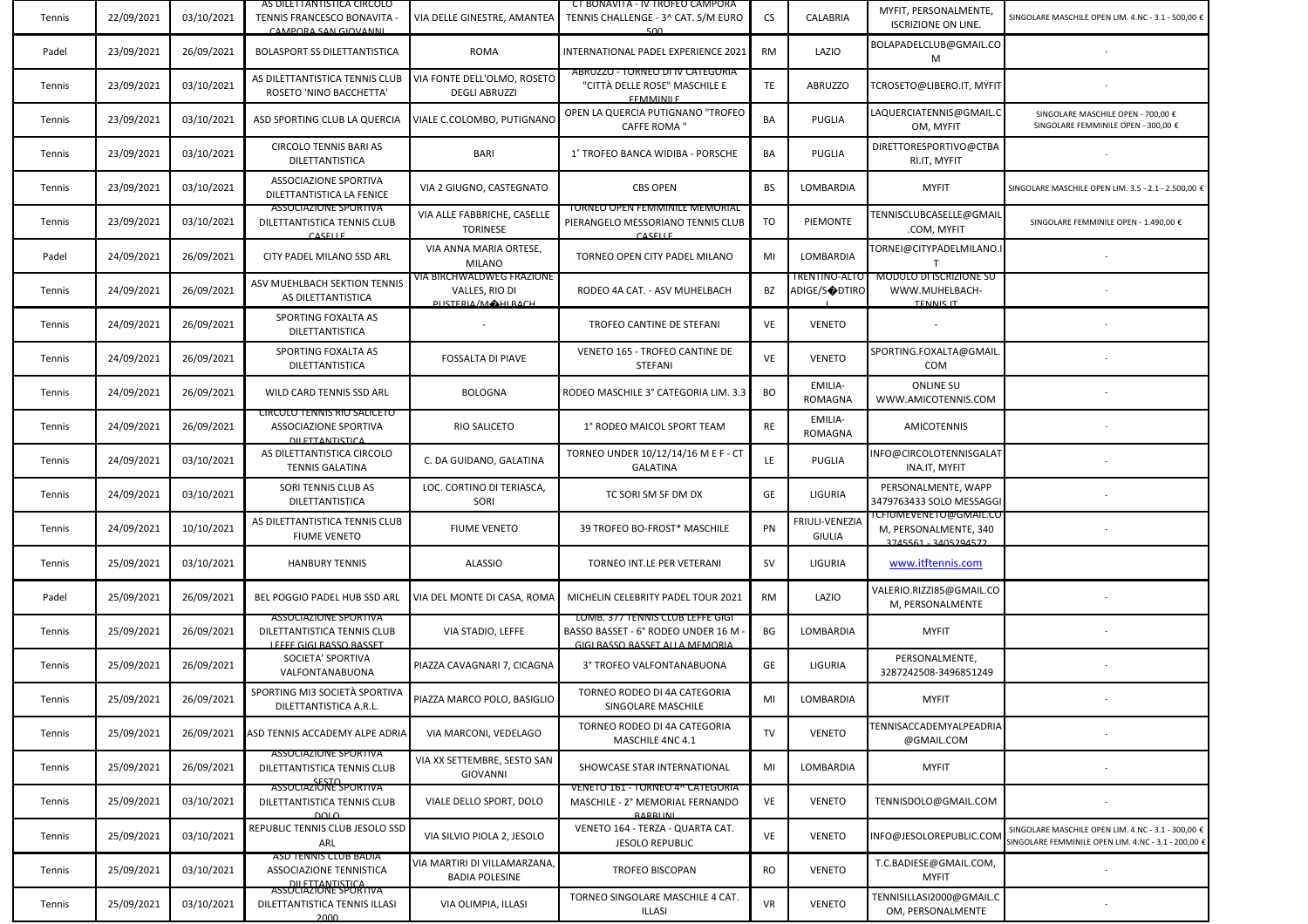| Tennis | 22/09/2021 | 03/10/2021 | AS DILETTANTISTICA CIRCOLO<br>TENNIS FRANCESCO BONAVITA -<br>CAMPORA SAN GIOVANNI             | VIA DELLE GINESTRE, AMANTEA                                       | CI BONAVITA - IV TROFEO CAMPORA<br>TENNIS CHALLENGE - 3^ CAT. S/M EURO<br>500                           | CS        | CALABRIA                        | MYFIT, PERSONALMENTE,<br><b>ISCRIZIONE ON LINE.</b>                     | SINGOLARE MASCHILE OPEN LIM. 4.NC - 3.1 - 500,00 €                                                        |
|--------|------------|------------|-----------------------------------------------------------------------------------------------|-------------------------------------------------------------------|---------------------------------------------------------------------------------------------------------|-----------|---------------------------------|-------------------------------------------------------------------------|-----------------------------------------------------------------------------------------------------------|
| Padel  | 23/09/2021 | 26/09/2021 | BOLASPORT SS DILETTANTISTICA                                                                  | ROMA                                                              | INTERNATIONAL PADEL EXPERIENCE 2021                                                                     | RM        | LAZIO                           | BOLAPADELCLUB@GMAIL.CO<br>M                                             |                                                                                                           |
| Tennis | 23/09/2021 | 03/10/2021 | AS DILETTANTISTICA TENNIS CLUB<br>ROSETO 'NINO BACCHETTA'                                     | VIA FONTE DELL'OLMO, ROSETO<br><b>DEGLI ABRUZZI</b>               | ABRUZZO - TORNEO DI IV CATEGORIA<br>"CITTÀ DELLE ROSE" MASCHILE E<br><b>EFMANINILE</b>                  | TE        | <b>ABRUZZO</b>                  | TCROSETO@LIBERO.IT, MYFIT                                               |                                                                                                           |
| Tennis | 23/09/2021 | 03/10/2021 | ASD SPORTING CLUB LA QUERCIA                                                                  | VIALE C.COLOMBO, PUTIGNANC                                        | OPEN LA QUERCIA PUTIGNANO "TROFEO<br><b>CAFFE ROMA</b> "                                                | BA        | PUGLIA                          | LAQUERCIATENNIS@GMAIL.C<br>OM, MYFIT                                    | SINGOLARE MASCHILE OPEN - 700,00 €<br>SINGOLARE FEMMINILE OPEN - 300,00 €                                 |
| Tennis | 23/09/2021 | 03/10/2021 | CIRCOLO TENNIS BARI AS<br>DILETTANTISTICA                                                     | BARI                                                              | 1° TROFEO BANCA WIDIBA - PORSCHE                                                                        | BA        | PUGLIA                          | DIRETTORESPORTIVO@CTBA<br>RI.IT, MYFIT                                  |                                                                                                           |
| Tennis | 23/09/2021 | 03/10/2021 | ASSOCIAZIONE SPORTIVA<br>DILETTANTISTICA LA FENICE                                            | VIA 2 GIUGNO, CASTEGNATO                                          | <b>CBS OPEN</b>                                                                                         | BS        | LOMBARDIA                       | <b>MYFIT</b>                                                            | SINGOLARE MASCHILE OPEN LIM. 3.5 - 2.1 - 2.500,00 €                                                       |
| Tennis | 23/09/2021 | 03/10/2021 | <b>ASSOCIAZIONE SPORTIVA</b><br>DILETTANTISTICA TENNIS CLUB<br><b>CASELLE</b>                 | VIA ALLE FABBRICHE, CASELLE<br><b>TORINESE</b>                    | <b>TORNEO OPEN FEMMINILE MEMORIAL</b><br>PIERANGELO MESSORIANO TENNIS CLUB<br><b>CASELLE</b>            | TO        | PIEMONTE                        | TENNISCLUBCASELLE@GMAIL<br>.COM, MYFIT                                  | SINGOLARE FEMMINILE OPEN - 1.490,00 €                                                                     |
| Padel  | 24/09/2021 | 26/09/2021 | CITY PADEL MILANO SSD ARL                                                                     | VIA ANNA MARIA ORTESE,<br><b>MILANO</b>                           | TORNEO OPEN CITY PADEL MILANO                                                                           | MI        | LOMBARDIA                       | TORNEI@CITYPADELMILANO.I                                                |                                                                                                           |
| Tennis | 24/09/2021 | 26/09/2021 | ASV MUEHLBACH SEKTION TENNIS<br>AS DILETTANTISTICA                                            | VIA BIRCHWALDWEG FRAZIONE<br>VALLES, RIO DI<br>PLISTERIA/MAHIRACH | RODEO 4A CAT. - ASV MUHELBACH                                                                           | BZ        | TRENTINO-ALTO<br>ADIGE/S◆DTIRO  | <b>MODULO DI ISCRIZIONE SU</b><br>WWW.MUHELBACH-<br><b>TENNIS IT</b>    |                                                                                                           |
| Tennis | 24/09/2021 | 26/09/2021 | SPORTING FOXALTA AS<br>DILETTANTISTICA                                                        |                                                                   | TROFEO CANTINE DE STEFANI                                                                               | VE        | <b>VENETO</b>                   |                                                                         |                                                                                                           |
| Tennis | 24/09/2021 | 26/09/2021 | SPORTING FOXALTA AS<br>DILETTANTISTICA                                                        | <b>FOSSALTA DI PIAVE</b>                                          | VENETO 165 - TROFEO CANTINE DE<br><b>STEFANI</b>                                                        | VE        | <b>VENETO</b>                   | SPORTING.FOXALTA@GMAIL.<br>COM                                          |                                                                                                           |
| Tennis | 24/09/2021 | 26/09/2021 | WILD CARD TENNIS SSD ARL                                                                      | <b>BOLOGNA</b>                                                    | RODEO MASCHILE 3° CATEGORIA LIM. 3.3                                                                    | BO        | EMILIA-<br>ROMAGNA              | <b>ONLINE SU</b><br>WWW.AMICOTENNIS.COM                                 |                                                                                                           |
| Tennis | 24/09/2021 | 26/09/2021 | CIRCOLO TENNIS RIO SALICETO<br>ASSOCIAZIONE SPORTIVA<br><b>DILETTANTISTICA</b>                | RIO SALICETO                                                      | 1° RODEO MAICOL SPORT TEAM                                                                              | RE        | EMILIA-<br>ROMAGNA              | AMICOTENNIS                                                             |                                                                                                           |
| Tennis | 24/09/2021 | 03/10/2021 | AS DILETTANTISTICA CIRCOLO<br><b>TENNIS GALATINA</b>                                          | C. DA GUIDANO, GALATINA                                           | TORNEO UNDER 10/12/14/16 M E F - CT<br><b>GALATINA</b>                                                  | LE.       | PUGLIA                          | NFO@CIRCOLOTENNISGALAT<br>INA.IT, MYFIT                                 |                                                                                                           |
| Tennis | 24/09/2021 | 03/10/2021 | SORI TENNIS CLUB AS<br>DILETTANTISTICA                                                        | LOC. CORTINO DI TERIASCA,<br>SORI                                 | TC SORI SM SF DM DX                                                                                     | GE        | LIGURIA                         | PERSONALMENTE, WAPP<br>3479763433 SOLO MESSAGGI                         |                                                                                                           |
| Tennis | 24/09/2021 | 10/10/2021 | AS DILETTANTISTICA TENNIS CLUB<br><b>FIUME VENETO</b>                                         | <b>FIUME VENETO</b>                                               | 39 TROFEO BO-FROST* MASCHILE                                                                            | PN        | FRIULI-VENEZIA<br><b>GIULIA</b> | i CHUMEVENETO@GMAIL.CO<br>M, PERSONALMENTE, 340<br>3745561 - 3405294572 |                                                                                                           |
| Tennis | 25/09/2021 | 03/10/2021 | <b>HANBURY TENNIS</b>                                                                         | <b>ALASSIO</b>                                                    | TORNEO INT.LE PER VETERANI                                                                              | <b>SV</b> | LIGURIA                         | www.itftennis.com                                                       |                                                                                                           |
| Padel  | 25/09/2021 | 26/09/2021 | BEL POGGIO PADEL HUB SSD ARL                                                                  | VIA DEL MONTE DI CASA, ROMA                                       | MICHELIN CELEBRITY PADEL TOUR 2021                                                                      | RM        | LAZIO                           | VALERIO.RIZZI85@GMAIL.CO<br>M, PERSONALMENTE                            |                                                                                                           |
| Tennis | 25/09/2021 | 26/09/2021 | <b>ASSOCIAZIONE SPORTIVA</b><br>DILETTANTISTICA TENNIS CLUB<br>LEEFE GIGLBASSO BASSET         | VIA STADIO, LEFFE                                                 | LOMB. 377 TENNIS CLUB LEFFE GIGI<br>BASSO BASSET - 6° RODEO UNDER 16 M<br>GIGLBASSO BASSET ALLA MEMORIA | ВG        | LOMBARDIA                       | <b>MYFIT</b>                                                            |                                                                                                           |
| Tennis | 25/09/2021 | 26/09/2021 | SOCIETA' SPORTIVA<br>VALFONTANABUONA                                                          | PIAZZA CAVAGNARI 7, CICAGNA                                       | 3° TROFEO VALFONTANABUONA                                                                               | GE        | LIGURIA                         | PERSONALMENTE,<br>3287242508-3496851249                                 |                                                                                                           |
| Tennis | 25/09/2021 | 26/09/2021 | SPORTING MI3 SOCIETÀ SPORTIVA<br>DILETTANTISTICA A.R.L.                                       | PIAZZA MARCO POLO, BASIGLIO                                       | TORNEO RODEO DI 4A CATEGORIA<br>SINGOLARE MASCHILE                                                      | MI        | LOMBARDIA                       | <b>MYFIT</b>                                                            |                                                                                                           |
| Tennis | 25/09/2021 | 26/09/2021 | ASD TENNIS ACCADEMY ALPE ADRIA                                                                | VIA MARCONI, VEDELAGO                                             | TORNEO RODEO DI 4A CATEGORIA<br>MASCHILE 4NC 4.1                                                        | TV        | <b>VENETO</b>                   | TENNISACCADEMYALPEADRIA<br>@GMAIL.COM                                   |                                                                                                           |
| Tennis | 25/09/2021 | 26/09/2021 | <b>ASSOCIAZIONE SPORTIVA</b><br>DILETTANTISTICA TENNIS CLUB<br>SESTO<br>ASSOCIAZIONE SPORTIVA | VIA XX SETTEMBRE, SESTO SAN<br><b>GIOVANNI</b>                    | SHOWCASE STAR INTERNATIONAL                                                                             | MI        | LOMBARDIA                       | <b>MYFIT</b>                                                            |                                                                                                           |
| Tennis | 25/09/2021 | 03/10/2021 | DILETTANTISTICA TENNIS CLUB<br>DQLO                                                           | VIALE DELLO SPORT, DOLO                                           | VENETO 161 - TORNEO 4^ CATEGORIA<br>MASCHILE - 2° MEMORIAL FERNANDO<br>RARRIJNI                         | VE        | <b>VENETO</b>                   | TENNISDOLO@GMAIL.COM                                                    |                                                                                                           |
| Tennis | 25/09/2021 | 03/10/2021 | REPUBLIC TENNIS CLUB JESOLO SSD<br>ARL                                                        | VIA SILVIO PIOLA 2, JESOLO                                        | VENETO 164 - TERZA - QUARTA CAT.<br>JESOLO REPUBLIC                                                     | VE        | <b>VENETO</b>                   | NFO@JESOLOREPUBLIC.COM                                                  | SINGOLARE MASCHILE OPEN LIM. 4.NC - 3.1 - 300,00 €<br>SINGOLARE FEMMINILE OPEN LIM. 4.NC - 3.1 - 200,00 € |
| Tennis | 25/09/2021 | 03/10/2021 | ASD TENNIS CLUB BADIA<br><b>ASSOCIAZIONE TENNISTICA</b><br>DILETTANTISTICA                    | VIA MARTIRI DI VILLAMARZANA,<br><b>BADIA POLESINE</b>             | <b>TROFEO BISCOPAN</b>                                                                                  | <b>RO</b> | <b>VENETO</b>                   | T.C.BADIESE@GMAIL.COM,<br><b>MYFIT</b>                                  |                                                                                                           |
| Tennis | 25/09/2021 | 03/10/2021 | <b>ASSOCIAZIONE SPORTIVA</b><br>DILETTANTISTICA TENNIS ILLASI<br>2000                         | VIA OLIMPIA, ILLASI                                               | TORNEO SINGOLARE MASCHILE 4 CAT.<br><b>ILLASI</b>                                                       | VR        | <b>VENETO</b>                   | TENNISILLASI2000@GMAIL.C<br>OM, PERSONALMENTE                           |                                                                                                           |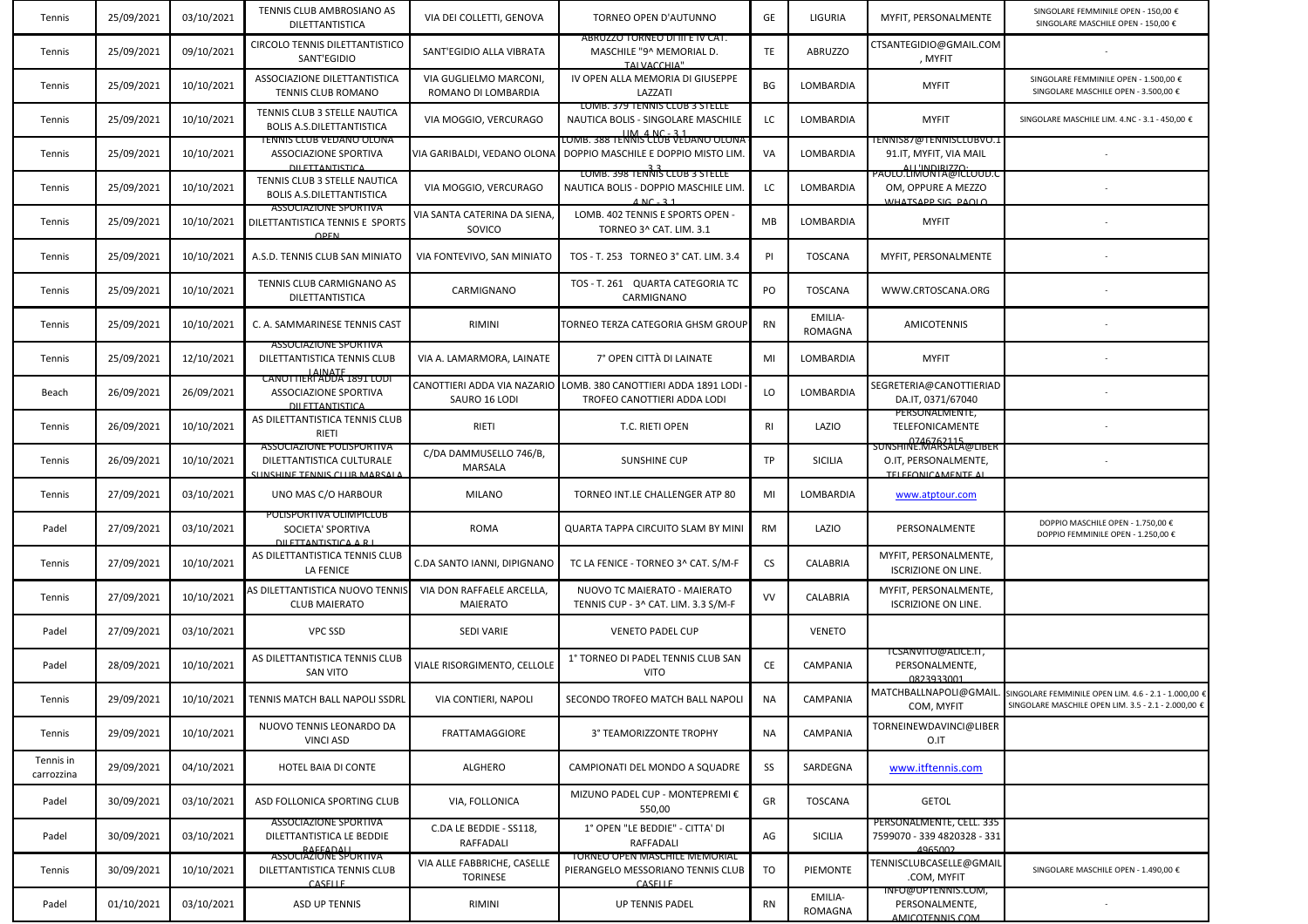| Tennis                  | 25/09/2021 | 03/10/2021 | TENNIS CLUB AMBROSIANO AS<br>DILETTANTISTICA                                                   | VIA DEI COLLETTI, GENOVA                       | TORNEO OPEN D'AUTUNNO                                                                                   | GE        | LIGURIA                   | MYFIT, PERSONALMENTE                                                      | SINGOLARE FEMMINILE OPEN - 150,00 €<br>SINGOLARE MASCHILE OPEN - 150,00 €                                                          |
|-------------------------|------------|------------|------------------------------------------------------------------------------------------------|------------------------------------------------|---------------------------------------------------------------------------------------------------------|-----------|---------------------------|---------------------------------------------------------------------------|------------------------------------------------------------------------------------------------------------------------------------|
| Tennis                  | 25/09/2021 | 09/10/2021 | CIRCOLO TENNIS DILETTANTISTICO<br>SANT'EGIDIO                                                  | SANT'EGIDIO ALLA VIBRATA                       | ABRUZZO TORNEO DI III E IV CAT.<br>MASCHILE "9^ MEMORIAL D.<br>ΤΔΙ VΔCCHΙΔ"                             | TE        | <b>ABRUZZO</b>            | CTSANTEGIDIO@GMAIL.COM<br>, MYFIT                                         |                                                                                                                                    |
| Tennis                  | 25/09/2021 | 10/10/2021 | ASSOCIAZIONE DILETTANTISTICA<br>TENNIS CLUB ROMANO                                             | VIA GUGLIELMO MARCONI,<br>ROMANO DI LOMBARDIA  | IV OPEN ALLA MEMORIA DI GIUSEPPE<br>LAZZATI                                                             | BG        | LOMBARDIA                 | <b>MYFIT</b>                                                              | SINGOLARE FEMMINILE OPEN - 1.500,00 €<br>SINGOLARE MASCHILE OPEN - 3.500,00 €                                                      |
| Tennis                  | 25/09/2021 | 10/10/2021 | TENNIS CLUB 3 STELLE NAUTICA<br><b>BOLIS A.S.DILETTANTISTICA</b>                               | VIA MOGGIO, VERCURAGO                          | LOMB. 379 TENNIS CLUB 3 STELLE<br>NAUTICA BOLIS - SINGOLARE MASCHILE<br>$IIM$ $ANC$ $31$                | LC        | LOMBARDIA                 | <b>MYFIT</b>                                                              | SINGOLARE MASCHILE LIM. 4.NC - 3.1 - 450,00 €                                                                                      |
| Tennis                  | 25/09/2021 | 10/10/2021 | TENNIS CLUB VEDANO OLONA<br>ASSOCIAZIONE SPORTIVA<br><b>DILETTANTISTICA</b>                    | VIA GARIBALDI, VEDANO OLONA                    | LOMB. 388 TENNIS CLUB VEDANO OLONA<br>DOPPIO MASCHILE E DOPPIO MISTO LIM.                               | VA        | LOMBARDIA                 | ENNIS87@TENNISCLUBVO.1<br>91.IT, MYFIT, VIA MAIL<br>ALL'INDIRIZZO         |                                                                                                                                    |
| Tennis                  | 25/09/2021 | 10/10/2021 | TENNIS CLUB 3 STELLE NAUTICA<br><b>BOLIS A.S.DILETTANTISTICA</b>                               | VIA MOGGIO, VERCURAGO                          | LOMB. 398 TENNIS CLUB 3 STELLE<br>NAUTICA BOLIS - DOPPIO MASCHILE LIM<br>$A$ NC $-$ 3.1                 | LC        | LOMBARDIA                 | PAOLO.LIMONTA@ICLOUD.C<br>OM, OPPURE A MEZZO<br><b>WHATSAPP SIG PAOLO</b> |                                                                                                                                    |
| Tennis                  | 25/09/2021 | 10/10/2021 | <b>ASSOCIAZIONE SPORTIVA</b><br>DILETTANTISTICA TENNIS E SPORTS<br>OPEN                        | VIA SANTA CATERINA DA SIENA<br>SOVICO          | LOMB. 402 TENNIS E SPORTS OPEN -<br>TORNEO 3^ CAT. LIM. 3.1                                             | MB        | LOMBARDIA                 | <b>MYFIT</b>                                                              |                                                                                                                                    |
| Tennis                  | 25/09/2021 | 10/10/2021 | A.S.D. TENNIS CLUB SAN MINIATO                                                                 | VIA FONTEVIVO, SAN MINIATO                     | TOS - T. 253 TORNEO 3° CAT. LIM. 3.4                                                                    | PI        | <b>TOSCANA</b>            | MYFIT, PERSONALMENTE                                                      |                                                                                                                                    |
| Tennis                  | 25/09/2021 | 10/10/2021 | TENNIS CLUB CARMIGNANO AS<br>DILETTANTISTICA                                                   | CARMIGNANO                                     | TOS - T. 261 QUARTA CATEGORIA TC<br>CARMIGNANO                                                          | PO        | <b>TOSCANA</b>            | WWW.CRTOSCANA.ORG                                                         |                                                                                                                                    |
| Tennis                  | 25/09/2021 | 10/10/2021 | C. A. SAMMARINESE TENNIS CAST                                                                  | RIMINI                                         | FORNEO TERZA CATEGORIA GHSM GROUP                                                                       | <b>RN</b> | EMILIA-<br>ROMAGNA        | <b>AMICOTENNIS</b>                                                        |                                                                                                                                    |
| Tennis                  | 25/09/2021 | 12/10/2021 | <b>ASSOCIAZIONE SPORTIVA</b><br>DILETTANTISTICA TENNIS CLUB                                    | VIA A. LAMARMORA, LAINATE                      | 7° OPEN CITTÀ DI LAINATE                                                                                | MI        | LOMBARDIA                 | <b>MYFIT</b>                                                              |                                                                                                                                    |
| Beach                   | 26/09/2021 | 26/09/2021 | CANOTTIERI ADDA 1891 LODI<br>ASSOCIAZIONE SPORTIVA<br><b>DILETTANTISTICA</b>                   | SAURO 16 LODI                                  | CANOTTIERI ADDA VIA NAZARIO LOMB. 380 CANOTTIERI ADDA 1891 LODI<br>TROFEO CANOTTIERI ADDA LODI          | LO        | LOMBARDIA                 | SEGRETERIA@CANOTTIERIAD<br>DA.IT, 0371/67040                              |                                                                                                                                    |
| Tennis                  | 26/09/2021 | 10/10/2021 | AS DILETTANTISTICA TENNIS CLUB<br>RIETI                                                        | RIETI                                          | T.C. RIETI OPEN                                                                                         | RI        | LAZIO                     | PERSONALMENTE,<br>TELEFONICAMENTE<br>SUNSHINE.MARSALA@LIBER               |                                                                                                                                    |
| Tennis                  | 26/09/2021 | 10/10/2021 | <b>ASSOCIAZIONE POLISPORTIVA</b><br>DILETTANTISTICA CULTURALE<br>SLINSHINE TENNIS CLUB MARSALA | C/DA DAMMUSELLO 746/B,<br>MARSALA              | SUNSHINE CUP                                                                                            | TP        | <b>SICILIA</b>            | O.IT, PERSONALMENTE,<br><b>TELEFONICAMENTE A</b>                          |                                                                                                                                    |
| Tennis                  | 27/09/2021 | 03/10/2021 | UNO MAS C/O HARBOUR                                                                            | <b>MILANO</b>                                  | TORNEO INT.LE CHALLENGER ATP 80                                                                         | MI        | LOMBARDIA                 | www.atptour.com                                                           |                                                                                                                                    |
| Padel                   | 27/09/2021 | 03/10/2021 | POLISPORTIVA OLIMPICLUB<br>SOCIETA' SPORTIVA<br>DILETTANTISTICA A R I                          | <b>ROMA</b>                                    | QUARTA TAPPA CIRCUITO SLAM BY MINI                                                                      | <b>RM</b> | LAZIO                     | PERSONALMENTE                                                             | DOPPIO MASCHILE OPEN - 1.750,00 €<br>DOPPIO FEMMINILE OPEN - 1.250,00 €                                                            |
| Tennis                  | 27/09/2021 | 10/10/2021 | AS DILETTANTISTICA TENNIS CLUB<br><b>LA FENICE</b>                                             | C.DA SANTO IANNI, DIPIGNANO                    | TC LA FENICE - TORNEO 3^ CAT. S/M-F                                                                     | CS        | CALABRIA                  | MYFIT, PERSONALMENTE,<br><b>ISCRIZIONE ON LINE.</b>                       |                                                                                                                                    |
| Tennis                  | 27/09/2021 | 10/10/2021 | AS DILETTANTISTICA NUOVO TENNIS<br><b>CLUB MAIERATO</b>                                        | VIA DON RAFFAELE ARCELLA<br><b>MAIERATO</b>    | NUOVO TC MAIERATO - MAIERATO<br>TENNIS CUP - 3^ CAT. LIM. 3.3 S/M-F                                     | VV        | CALABRIA                  | MYFIT, PERSONALMENTE,<br><b>ISCRIZIONE ON LINE.</b>                       |                                                                                                                                    |
| Padel                   | 27/09/2021 | 03/10/2021 | <b>VPC SSD</b>                                                                                 | <b>SEDI VARIE</b>                              | <b>VENETO PADEL CUP</b>                                                                                 |           | <b>VENETO</b>             |                                                                           |                                                                                                                                    |
| Padel                   | 28/09/2021 | 10/10/2021 | AS DILETTANTISTICA TENNIS CLUB<br><b>SAN VITO</b>                                              | VIALE RISORGIMENTO, CELLOLE                    | 1° TORNEO DI PADEL TENNIS CLUB SAN<br><b>VITO</b>                                                       | CE        | CAMPANIA                  | <u>TCSANVITO@ALICE.IT,</u><br>PERSONALMENTE,<br>0823933001                |                                                                                                                                    |
| Tennis                  | 29/09/2021 |            | 10/10/2021 TENNIS MATCH BALL NAPOLI SSDRL                                                      | VIA CONTIERI, NAPOLI                           | SECONDO TROFEO MATCH BALL NAPOLI                                                                        | ΝA        | CAMPANIA                  | COM, MYFIT                                                                | MATCHBALLNAPOLI@GMAIL. SINGOLARE FEMMINILE OPEN LIM. 4.6 - 2.1 - 1.000,00 €<br>SINGOLARE MASCHILE OPEN LIM. 3.5 - 2.1 - 2.000,00 + |
| Tennis                  | 29/09/2021 | 10/10/2021 | NUOVO TENNIS LEONARDO DA<br><b>VINCI ASD</b>                                                   | <b>FRATTAMAGGIORE</b>                          | 3° TEAMORIZZONTE TROPHY                                                                                 | <b>NA</b> | CAMPANIA                  | TORNEINEWDAVINCI@LIBER<br>O.IT                                            |                                                                                                                                    |
| Tennis in<br>carrozzina | 29/09/2021 | 04/10/2021 | HOTEL BAIA DI CONTE                                                                            | ALGHERO                                        | CAMPIONATI DEL MONDO A SQUADRE                                                                          | SS        | SARDEGNA                  | www.itftennis.com                                                         |                                                                                                                                    |
| Padel                   | 30/09/2021 | 03/10/2021 | ASD FOLLONICA SPORTING CLUB                                                                    | VIA, FOLLONICA                                 | MIZUNO PADEL CUP - MONTEPREMI €<br>550,00                                                               | GR        | <b>TOSCANA</b>            | <b>GETOL</b>                                                              |                                                                                                                                    |
| Padel                   | 30/09/2021 | 03/10/2021 | <b>ASSOCIAZIONE SPORTIVA</b><br>DILETTANTISTICA LE BEDDIE<br>ASSOCIAZIONE SPORTIVA             | C.DA LE BEDDIE - SS118.<br>RAFFADALI           | 1° OPEN "LE BEDDIE" - CITTA' DI<br>RAFFADALI                                                            | AG        | <b>SICILIA</b>            | PERSONALMENTE, CELL. 335<br>7599070 - 339 4820328 - 331<br>4965002        |                                                                                                                                    |
| Tennis                  | 30/09/2021 | 10/10/2021 | DILETTANTISTICA TENNIS CLUB<br>$C \triangle \text{SEILF}$                                      | VIA ALLE FABBRICHE, CASELLE<br><b>TORINESE</b> | <b>TORNEO OPEN MASCHILE MEMORIAL</b><br>PIERANGELO MESSORIANO TENNIS CLUB<br>$C \triangle \text{SEIIF}$ | TO        | PIEMONTE                  | TENNISCLUBCASELLE@GMAIL<br>.COM, MYFIT                                    | SINGOLARE MASCHILE OPEN - 1.490,00 €                                                                                               |
| Padel                   | 01/10/2021 | 03/10/2021 | ASD UP TENNIS                                                                                  | RIMINI                                         | <b>UP TENNIS PADEL</b>                                                                                  | <b>RN</b> | EMILIA-<br><b>ROMAGNA</b> | INFO@UPTENNIS.COM,<br>PERSONALMENTE,<br>AMICOTENNIS COM                   |                                                                                                                                    |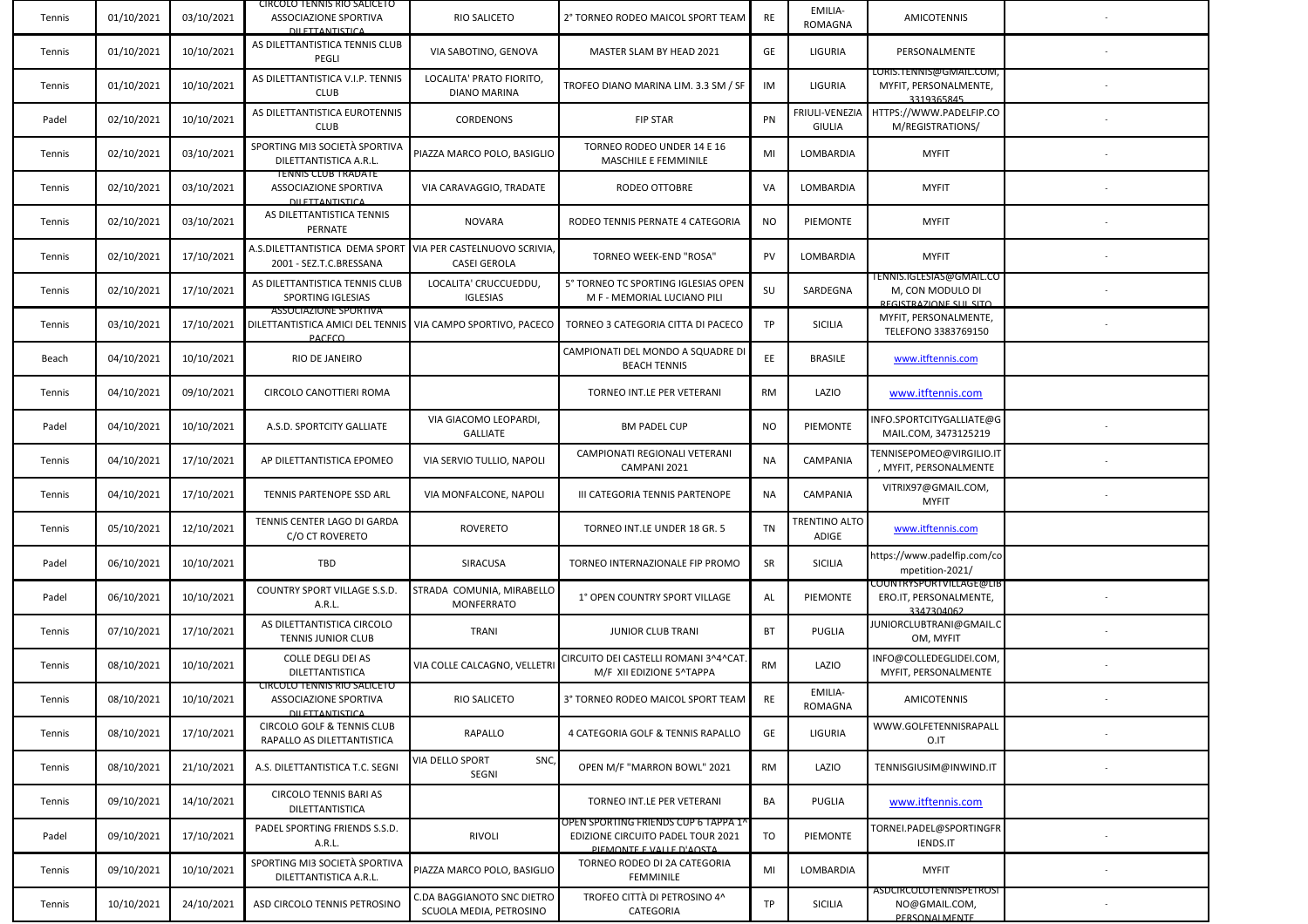| Tennis | 01/10/2021 | 03/10/2021 | CIRCOLO TENNIS RIO SALICETO<br>ASSOCIAZIONE SPORTIVA<br><b>DU ETTANTISTICA</b>                               | RIO SALICETO                                          | 2° TORNEO RODEO MAICOL SPORT TEAM                                                                     | RE        | EMILIA-<br><b>ROMAGNA</b>       | AMICOTENNIS                                                             |  |
|--------|------------|------------|--------------------------------------------------------------------------------------------------------------|-------------------------------------------------------|-------------------------------------------------------------------------------------------------------|-----------|---------------------------------|-------------------------------------------------------------------------|--|
| Tennis | 01/10/2021 | 10/10/2021 | AS DILETTANTISTICA TENNIS CLUB<br>PEGLI                                                                      | VIA SABOTINO, GENOVA                                  | MASTER SLAM BY HEAD 2021                                                                              | GE        | LIGURIA                         | PERSONALMENTE                                                           |  |
| Tennis | 01/10/2021 | 10/10/2021 | AS DILETTANTISTICA V.I.P. TENNIS<br><b>CLUB</b>                                                              | LOCALITA' PRATO FIORITO,<br>DIANO MARINA              | TROFEO DIANO MARINA LIM. 3.3 SM / SF                                                                  | IM        | LIGURIA                         | LORIS.1ENNIS@GMAIL.COM,<br>MYFIT, PERSONALMENTE,<br>2210265845          |  |
| Padel  | 02/10/2021 | 10/10/2021 | AS DILETTANTISTICA EUROTENNIS<br><b>CLUB</b>                                                                 | CORDENONS                                             | <b>FIP STAR</b>                                                                                       | PN        | FRIULI-VENEZIA<br><b>GIULIA</b> | HTTPS://WWW.PADELFIP.CO<br>M/REGISTRATIONS/                             |  |
| Tennis | 02/10/2021 | 03/10/2021 | SPORTING MI3 SOCIETÀ SPORTIVA<br>DILETTANTISTICA A.R.L.                                                      | PIAZZA MARCO POLO, BASIGLIO                           | TORNEO RODEO UNDER 14 E 16<br>MASCHILE E FEMMINILE                                                    | MI        | LOMBARDIA                       | <b>MYFIT</b>                                                            |  |
| Tennis | 02/10/2021 | 03/10/2021 | <b>IENNIS CLUB IRADATE</b><br>ASSOCIAZIONE SPORTIVA<br><b>DU ΕΤΤΑΝΤΙΣΤΙΣΑ</b>                                | VIA CARAVAGGIO, TRADATE                               | RODEO OTTOBRE                                                                                         | VA        | LOMBARDIA                       | <b>MYFIT</b>                                                            |  |
| Tennis | 02/10/2021 | 03/10/2021 | AS DILETTANTISTICA TENNIS<br>PERNATE                                                                         | <b>NOVARA</b>                                         | RODEO TENNIS PERNATE 4 CATEGORIA                                                                      | NO.       | PIEMONTE                        | <b>MYFIT</b>                                                            |  |
| Tennis | 02/10/2021 | 17/10/2021 | A.S.DILETTANTISTICA DEMA SPORT<br>2001 - SEZ.T.C.BRESSANA                                                    | VIA PER CASTELNUOVO SCRIVIA,<br><b>CASEI GEROLA</b>   | TORNEO WEEK-END "ROSA"                                                                                | PV        | LOMBARDIA                       | <b>MYFIT</b>                                                            |  |
| Tennis | 02/10/2021 | 17/10/2021 | AS DILETTANTISTICA TENNIS CLUB<br>SPORTING IGLESIAS                                                          | LOCALITA' CRUCCUEDDU,<br><b>IGLESIAS</b>              | 5° TORNEO TC SPORTING IGLESIAS OPEN<br>M F - MEMORIAL LUCIANO PILI                                    | SU        | SARDEGNA                        | IENNIS.IGLESIAS@GMAIL.CO<br>M, CON MODULO DI<br>REGISTRAZIONE SLIL SITO |  |
| Tennis | 03/10/2021 | 17/10/2021 | <b>ASSOCIAZIONE SPORTIVA</b><br>DILETTANTISTICA AMICI DEL TENNIS VIA CAMPO SPORTIVO, PACECO<br><b>PACECO</b> |                                                       | TORNEO 3 CATEGORIA CITTA DI PACECO                                                                    | TP        | <b>SICILIA</b>                  | MYFIT, PERSONALMENTE,<br>TELEFONO 3383769150                            |  |
| Beach  | 04/10/2021 | 10/10/2021 | RIO DE JANEIRO                                                                                               |                                                       | CAMPIONATI DEL MONDO A SQUADRE DI<br><b>BEACH TENNIS</b>                                              | EE        | <b>BRASILE</b>                  | www.itftennis.com                                                       |  |
| Tennis | 04/10/2021 | 09/10/2021 | CIRCOLO CANOTTIERI ROMA                                                                                      |                                                       | TORNEO INT.LE PER VETERANI                                                                            | <b>RM</b> | LAZIO                           | www.itftennis.com                                                       |  |
| Padel  | 04/10/2021 | 10/10/2021 | A.S.D. SPORTCITY GALLIATE                                                                                    | VIA GIACOMO LEOPARDI,<br><b>GALLIATE</b>              | <b>BM PADEL CUP</b>                                                                                   | NO.       | PIEMONTE                        | NFO.SPORTCITYGALLIATE@G<br>MAIL.COM, 3473125219                         |  |
| Tennis | 04/10/2021 | 17/10/2021 | AP DILETTANTISTICA EPOMEO                                                                                    | VIA SERVIO TULLIO, NAPOLI                             | CAMPIONATI REGIONALI VETERANI<br>CAMPANI 2021                                                         | NA        | CAMPANIA                        | TENNISEPOMEO@VIRGILIO.IT<br>, MYFIT, PERSONALMENTE                      |  |
| Tennis | 04/10/2021 | 17/10/2021 | TENNIS PARTENOPE SSD ARL                                                                                     | VIA MONFALCONE, NAPOLI                                | III CATEGORIA TENNIS PARTENOPE                                                                        | NA        | <b>CAMPANIA</b>                 | VITRIX97@GMAIL.COM,<br><b>MYFIT</b>                                     |  |
| Tennis | 05/10/2021 | 12/10/2021 | TENNIS CENTER LAGO DI GARDA<br>C/O CT ROVERETO                                                               | <b>ROVERETO</b>                                       | TORNEO INT.LE UNDER 18 GR. 5                                                                          | TN        | TRENTINO ALTO<br>ADIGE          | www.itftennis.com                                                       |  |
| Padel  | 06/10/2021 | 10/10/2021 | TBD                                                                                                          | SIRACUSA                                              | TORNEO INTERNAZIONALE FIP PROMO                                                                       | SR        | <b>SICILIA</b>                  | https://www.padelfip.com/co<br>mpetition-2021/                          |  |
| Padel  | 06/10/2021 | 10/10/2021 | COUNTRY SPORT VILLAGE S.S.D.<br>A.R.L.                                                                       | STRADA COMUNIA, MIRABELLO<br><b>MONFERRATO</b>        | 1° OPEN COUNTRY SPORT VILLAGE                                                                         | AL        | PIEMONTE                        | COUNTRYSPORTVILLAGE@LIE<br>ERO.IT, PERSONALMENTE,<br>3347304062         |  |
| Tennis | 07/10/2021 | 17/10/2021 | AS DILETTANTISTICA CIRCOLO<br>TENNIS JUNIOR CLUB                                                             | <b>TRANI</b>                                          | JUNIOR CLUB TRANI                                                                                     | <b>BT</b> | PUGLIA                          | JUNIORCLUBTRANI@GMAIL.(<br>OM, MYFIT                                    |  |
| Tennis | 08/10/2021 | 10/10/2021 | <b>COLLE DEGLI DEI AS</b><br>DILETTANTISTICA                                                                 | VIA COLLE CALCAGNO, VELLETRI                          | CIRCUITO DEI CASTELLI ROMANI 3^4^CAT.<br>M/F XII EDIZIONE 5^TAPPA                                     | RM        | LAZIO                           | INFO@COLLEDEGLIDEI.COM,<br>MYFIT, PERSONALMENTE                         |  |
| Tennis | 08/10/2021 | 10/10/2021 | CIRCOLO TENNIS RIO SALICETO<br>ASSOCIAZIONE SPORTIVA<br>DILETTANTISTICA                                      | RIO SALICETO                                          | 3° TORNEO RODEO MAICOL SPORT TEAM                                                                     | <b>KE</b> | EMILIA-<br>ROMAGNA              | AMICOTENNIS                                                             |  |
| Tennis | 08/10/2021 | 17/10/2021 | <b>CIRCOLO GOLF &amp; TENNIS CLUB</b><br>RAPALLO AS DILETTANTISTICA                                          | RAPALLO                                               | 4 CATEGORIA GOLF & TENNIS RAPALLO                                                                     | GE        | LIGURIA                         | WWW.GOLFETENNISRAPALL<br>O.IT                                           |  |
| Tennis | 08/10/2021 | 21/10/2021 | A.S. DILETTANTISTICA T.C. SEGNI                                                                              | SNC<br><b>JIA DELLO SPORT</b><br>SEGNI                | OPEN M/F "MARRON BOWL" 2021                                                                           | <b>RM</b> | LAZIO                           | TENNISGIUSIM@INWIND.IT                                                  |  |
| Tennis | 09/10/2021 | 14/10/2021 | CIRCOLO TENNIS BARI AS<br><b>DILETTANTISTICA</b>                                                             |                                                       | TORNEO INT.LE PER VETERANI                                                                            | BA        | PUGLIA                          | www.itftennis.com                                                       |  |
| Padel  | 09/10/2021 | 17/10/2021 | PADEL SPORTING FRIENDS S.S.D.<br>A.R.L.                                                                      | RIVOLI                                                | OPEN SPORTING FRIENDS CUP 6 TAPPA 1^<br>EDIZIONE CIRCUITO PADEL TOUR 2021<br>DIEMONTE E VALLE D'AOSTA | TO        | PIEMONTE                        | TORNEI.PADEL@SPORTINGFR<br>IENDS.IT                                     |  |
| Tennis | 09/10/2021 | 10/10/2021 | SPORTING MI3 SOCIETÀ SPORTIVA<br>DILETTANTISTICA A.R.L.                                                      | PIAZZA MARCO POLO, BASIGLIO                           | TORNEO RODEO DI 2A CATEGORIA<br><b>FEMMINILE</b>                                                      | MI        | LOMBARDIA                       | <b>MYFIT</b>                                                            |  |
| Tennis | 10/10/2021 | 24/10/2021 | ASD CIRCOLO TENNIS PETROSINO                                                                                 | C.DA BAGGIANOTO SNC DIETRO<br>SCUOLA MEDIA, PETROSINO | TROFEO CITTÀ DI PETROSINO 4^<br>CATEGORIA                                                             | <b>TP</b> | <b>SICILIA</b>                  | ASDCIRCOLOTENNISPETROSI<br>NO@GMAIL.COM,<br><b>DERSONALMENTE</b>        |  |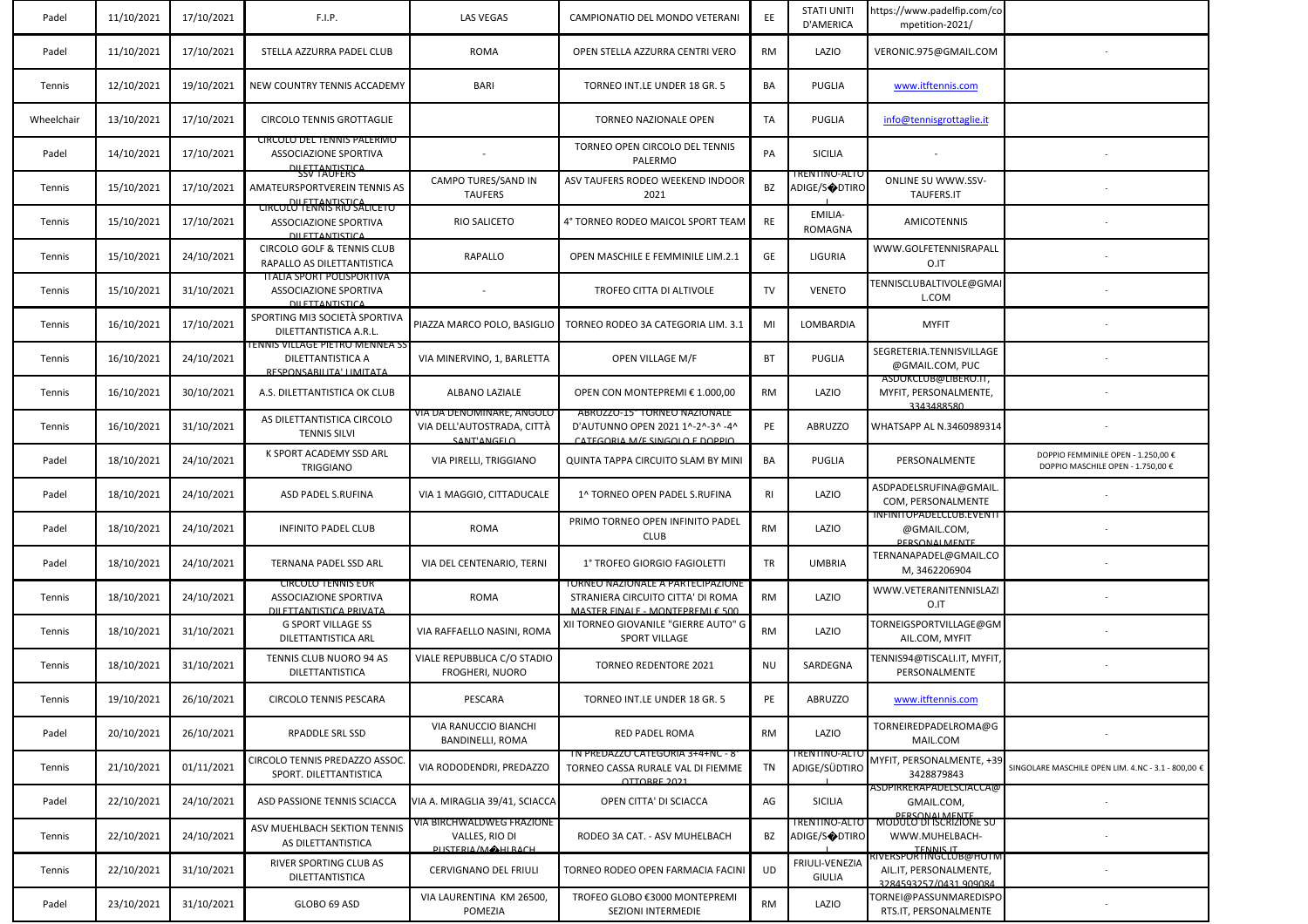| Padel      | 11/10/2021 | 17/10/2021 | F.I.P.                                                                                | LAS VEGAS                                                              | CAMPIONATIO DEL MONDO VETERANI                                                                            | EE        | <b>STATI UNITI</b><br>D'AMERICA       | https://www.padelfip.com/co<br>mpetition-2021/                                         |                                                                         |
|------------|------------|------------|---------------------------------------------------------------------------------------|------------------------------------------------------------------------|-----------------------------------------------------------------------------------------------------------|-----------|---------------------------------------|----------------------------------------------------------------------------------------|-------------------------------------------------------------------------|
| Padel      | 11/10/2021 | 17/10/2021 | STELLA AZZURRA PADEL CLUB                                                             | <b>ROMA</b>                                                            | OPEN STELLA AZZURRA CENTRI VERO                                                                           | <b>RM</b> | LAZIO                                 | VERONIC.975@GMAIL.COM                                                                  |                                                                         |
| Tennis     | 12/10/2021 | 19/10/2021 | NEW COUNTRY TENNIS ACCADEMY                                                           | BARI                                                                   | TORNEO INT.LE UNDER 18 GR. 5                                                                              | BA        | PUGLIA                                | www.itftennis.com                                                                      |                                                                         |
| Wheelchair | 13/10/2021 | 17/10/2021 | CIRCOLO TENNIS GROTTAGLIE                                                             |                                                                        | <b>TORNEO NAZIONALE OPEN</b>                                                                              | TA        | PUGLIA                                | info@tennisgrottaglie.it                                                               |                                                                         |
| Padel      | 14/10/2021 | 17/10/2021 | <b>CIRCOLO DEL TENNIS PALERMO</b><br>ASSOCIAZIONE SPORTIVA<br>DILETTANTISTICA         |                                                                        | TORNEO OPEN CIRCOLO DEL TENNIS<br>PALERMO                                                                 | PA        | <b>SICILIA</b>                        |                                                                                        |                                                                         |
| Tennis     | 15/10/2021 | 17/10/2021 | <b>SSV TAUFERS</b><br>AMATEURSPORTVEREIN TENNIS AS<br>DILETTANTISTICA                 | CAMPO TURES/SAND IN<br><b>TAUFERS</b>                                  | ASV TAUFERS RODEO WEEKEND INDOOR<br>2021                                                                  | BZ        | I RENTINO-ALTC<br>ADIGE/S�DTIRO       | <b>ONLINE SU WWW.SSV-</b><br>TAUFERS.IT                                                |                                                                         |
| Tennis     | 15/10/2021 | 17/10/2021 | <b>CIRCOLO TENNIS RIO SALICETO</b><br>ASSOCIAZIONE SPORTIVA<br><b>DILETTANTISTICA</b> | <b>RIO SALICETO</b>                                                    | 4° TORNEO RODEO MAICOL SPORT TEAM                                                                         | RE        | EMILIA-<br>ROMAGNA                    | <b>AMICOTENNIS</b>                                                                     |                                                                         |
| Tennis     | 15/10/2021 | 24/10/2021 | <b>CIRCOLO GOLF &amp; TENNIS CLUB</b><br>RAPALLO AS DILETTANTISTICA                   | RAPALLO                                                                | OPEN MASCHILE E FEMMINILE LIM.2.1                                                                         | GE        | LIGURIA                               | WWW.GOLFETENNISRAPALL<br>O.IT                                                          |                                                                         |
| Tennis     | 15/10/2021 | 31/10/2021 | <b>TTALIA SPORT POLISPORTIVA</b><br>ASSOCIAZIONE SPORTIVA<br><b>DILETTANTISTICA</b>   |                                                                        | TROFEO CITTA DI ALTIVOLE                                                                                  | TV        | <b>VENETO</b>                         | TENNISCLUBALTIVOLE@GMAI<br>L.COM                                                       |                                                                         |
| Tennis     | 16/10/2021 | 17/10/2021 | SPORTING MI3 SOCIETÀ SPORTIVA<br>DILETTANTISTICA A.R.L                                | PIAZZA MARCO POLO, BASIGLIO                                            | TORNEO RODEO 3A CATEGORIA LIM. 3.1                                                                        | MI        | LOMBARDIA                             | <b>MYFIT</b>                                                                           |                                                                         |
| Tennis     | 16/10/2021 | 24/10/2021 | I ENNIS VILLAGE PIETRO MENNEA SS<br>DILETTANTISTICA A<br>RESPONSARILITA' LIMITATA     | VIA MINERVINO, 1, BARLETTA                                             | OPEN VILLAGE M/F                                                                                          | BT        | PUGLIA                                | SEGRETERIA.TENNISVILLAGE<br>@GMAIL.COM, PUC                                            |                                                                         |
| Tennis     | 16/10/2021 | 30/10/2021 | A.S. DILETTANTISTICA OK CLUB                                                          | ALBANO LAZIALE                                                         | OPEN CON MONTEPREMI € 1.000,00                                                                            | RM        | LAZIO                                 | ASDOKCLUB@LIBERO.IT,<br>MYFIT, PERSONALMENTE,<br>3343488580                            |                                                                         |
| Tennis     | 16/10/2021 | 31/10/2021 | AS DILETTANTISTICA CIRCOLO<br><b>TENNIS SILVI</b>                                     | VIA DA DENOMINARE, ANGOLO<br>VIA DELL'AUTOSTRADA, CITTA<br>SANT'ANGELO | ABRUZZU-15 TURNEU NAZIONALE<br>D'AUTUNNO OPEN 2021 1^-2^-3^ -4^<br>CATEGORIA M/E SINGOLO E DOPPIO         | PE        | <b>ABRUZZO</b>                        | WHATSAPP AL N.3460989314                                                               |                                                                         |
| Padel      | 18/10/2021 | 24/10/2021 | K SPORT ACADEMY SSD ARL<br>TRIGGIANO                                                  | VIA PIRELLI, TRIGGIANO                                                 | QUINTA TAPPA CIRCUITO SLAM BY MINI                                                                        | BA        | PUGLIA                                | PERSONALMENTE                                                                          | DOPPIO FEMMINILE OPEN - 1.250,00 €<br>DOPPIO MASCHILE OPEN - 1.750,00 € |
| Padel      | 18/10/2021 | 24/10/2021 | ASD PADEL S.RUFINA                                                                    | VIA 1 MAGGIO, CITTADUCALE                                              | 1^ TORNEO OPEN PADEL S.RUFINA                                                                             | <b>RI</b> | LAZIO                                 | ASDPADELSRUFINA@GMAIL.<br>COM, PERSONALMENTE                                           |                                                                         |
| Padel      | 18/10/2021 | 24/10/2021 | <b>INFINITO PADEL CLUB</b>                                                            | ROMA                                                                   | PRIMO TORNEO OPEN INFINITO PADEL<br><b>CLUB</b>                                                           | <b>RM</b> | LAZIO                                 | INFINITOPADELCLUB.EVENTI<br>@GMAIL.COM,<br>PERSONAL MENTE                              |                                                                         |
| Padel      | 18/10/2021 | 24/10/2021 | TERNANA PADEL SSD ARL                                                                 | VIA DEL CENTENARIO, TERNI                                              | 1° TROFEO GIORGIO FAGIOLETTI                                                                              | TR        | <b>UMBRIA</b>                         | TERNANAPADEL@GMAIL.CO<br>M, 3462206904                                                 |                                                                         |
| Tennis     | 18/10/2021 | 24/10/2021 | <b>CIRCOLO TENNIS EUR</b><br>ASSOCIAZIONE SPORTIVA<br>DILETTANTISTICA PRIVATA         | <b>ROMA</b>                                                            | I ORNEO NAZIONALE A PARTECIPAZIONE<br>STRANIERA CIRCUITO CITTA' DI ROMA<br>MASTER FINALE, MONTEDREMLE 500 | RM        | LAZIO                                 | WWW.VETERANITENNISLAZI<br>O.IT                                                         |                                                                         |
| Tennis     | 18/10/2021 | 31/10/2021 | <b>G SPORT VILLAGE SS</b><br>DILETTANTISTICA ARL                                      | VIA RAFFAELLO NASINI, ROMA                                             | XII TORNEO GIOVANILE "GIERRE AUTO" G<br>SPORT VILLAGE                                                     | <b>RM</b> | LAZIO                                 | TORNEIGSPORTVILLAGE@GM<br>AIL.COM, MYFIT                                               |                                                                         |
| Tennis     | 18/10/2021 | 31/10/2021 | TENNIS CLUB NUORO 94 AS<br>DILETTANTISTICA                                            | VIALE REPUBBLICA C/O STADIO<br>FROGHERI, NUORO                         | <b>TORNEO REDENTORE 2021</b>                                                                              | NU        | SARDEGNA                              | TENNIS94@TISCALI.IT, MYFIT,<br>PERSONALMENTE                                           |                                                                         |
| Tennis     | 19/10/2021 | 26/10/2021 | CIRCOLO TENNIS PESCARA                                                                | PESCARA                                                                | TORNEO INT.LE UNDER 18 GR. 5                                                                              | PE        | ABRUZZO                               | www.itftennis.com                                                                      |                                                                         |
| Padel      | 20/10/2021 | 26/10/2021 | RPADDLE SRL SSD                                                                       | VIA RANUCCIO BIANCHI<br><b>BANDINELLI, ROMA</b>                        | RED PADEL ROMA                                                                                            | <b>RM</b> | LAZIO                                 | TORNEIREDPADELROMA@G<br>MAIL.COM                                                       |                                                                         |
| Tennis     | 21/10/2021 | 01/11/2021 | CIRCOLO TENNIS PREDAZZO ASSOC<br>SPORT. DILETTANTISTICA                               | VIA RODODENDRI, PREDAZZO                                               | TN PREDAZZO CATEGORIA 3+4+NC - 8°<br>TORNEO CASSA RURALE VAL DI FIEMME<br>OTTORRE 2021                    | TN        | I RENTINO-ALTO<br>ADIGE/SÜDTIRO       | MYFIT, PERSONALMENTE, +3<br>3428879843                                                 | SINGOLARE MASCHILE OPEN LIM. 4.NC - 3.1 - 800,00 €                      |
| Padel      | 22/10/2021 | 24/10/2021 | ASD PASSIONE TENNIS SCIACCA                                                           | VIA A. MIRAGLIA 39/41, SCIACCA                                         | OPEN CITTA' DI SCIACCA                                                                                    | AG        | <b>SICILIA</b>                        | ASDPIRRERAPADELSCIACCA@<br>GMAIL.COM,<br><b>DERSONALMENTE</b>                          |                                                                         |
| Tennis     | 22/10/2021 | 24/10/2021 | ASV MUEHLBACH SEKTION TENNIS<br>AS DILETTANTISTICA                                    | VIA BIRCHWALDWEG FRAZIONE<br>VALLES, RIO DI<br>DUSTERIA/MAHIRACH       | RODEO 3A CAT. - ASV MUHELBACH                                                                             | BZ        | TRENTINO-ALTO<br><b>ADIGE/S◆DTIRO</b> | MODULO DI ISCRIZIONE SU<br>WWW.MUHELBACH-<br>TENNIS IT<br>TENNIS IT MUTHOLING MUTHOLIN |                                                                         |
| Tennis     | 22/10/2021 | 31/10/2021 | RIVER SPORTING CLUB AS<br>DILETTANTISTICA                                             | <b>CERVIGNANO DEL FRIULI</b>                                           | TORNEO RODEO OPEN FARMACIA FACINI                                                                         | <b>UD</b> | FRIULI-VENEZIA<br><b>GIULIA</b>       | AIL.IT, PERSONALMENTE,<br>3284593257/0431 909084                                       |                                                                         |
| Padel      | 23/10/2021 | 31/10/2021 | GLOBO 69 ASD                                                                          | VIA LAURENTINA KM 26500,<br>POMEZIA                                    | TROFEO GLOBO €3000 MONTEPREMI<br>SEZIONI INTERMEDIE                                                       | RM        | LAZIO                                 | TORNEI@PASSUNMAREDISPO<br>RTS.IT, PERSONALMENTE                                        |                                                                         |